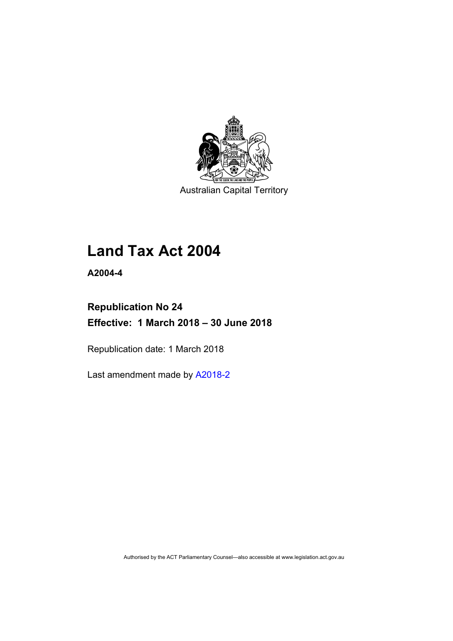

Australian Capital Territory

# **Land Tax Act 2004**

**A2004-4** 

## **Republication No 24 Effective: 1 March 2018 – 30 June 2018**

Republication date: 1 March 2018

Last amendment made by [A2018-2](http://www.legislation.act.gov.au/a/2018-2/default.asp)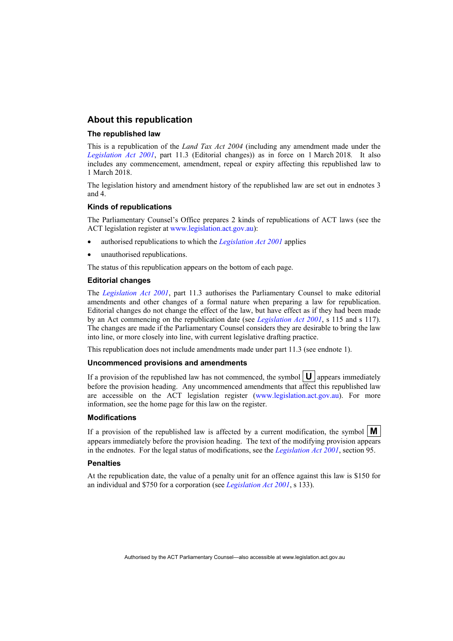### **About this republication**

#### **The republished law**

This is a republication of the *Land Tax Act 2004* (including any amendment made under the *[Legislation Act 2001](http://www.legislation.act.gov.au/a/2001-14)*, part 11.3 (Editorial changes)) as in force on 1 March 2018*.* It also includes any commencement, amendment, repeal or expiry affecting this republished law to 1 March 2018.

The legislation history and amendment history of the republished law are set out in endnotes 3 and 4.

#### **Kinds of republications**

The Parliamentary Counsel's Office prepares 2 kinds of republications of ACT laws (see the ACT legislation register at [www.legislation.act.gov.au](http://www.legislation.act.gov.au/)):

- authorised republications to which the *[Legislation Act 2001](http://www.legislation.act.gov.au/a/2001-14)* applies
- unauthorised republications.

The status of this republication appears on the bottom of each page.

#### **Editorial changes**

The *[Legislation Act 2001](http://www.legislation.act.gov.au/a/2001-14)*, part 11.3 authorises the Parliamentary Counsel to make editorial amendments and other changes of a formal nature when preparing a law for republication. Editorial changes do not change the effect of the law, but have effect as if they had been made by an Act commencing on the republication date (see *[Legislation Act 2001](http://www.legislation.act.gov.au/a/2001-14)*, s 115 and s 117). The changes are made if the Parliamentary Counsel considers they are desirable to bring the law into line, or more closely into line, with current legislative drafting practice.

This republication does not include amendments made under part 11.3 (see endnote 1).

#### **Uncommenced provisions and amendments**

If a provision of the republished law has not commenced, the symbol  $\mathbf{U}$  appears immediately before the provision heading. Any uncommenced amendments that affect this republished law are accessible on the ACT legislation register [\(www.legislation.act.gov.au\)](http://www.legislation.act.gov.au/). For more information, see the home page for this law on the register.

#### **Modifications**

If a provision of the republished law is affected by a current modification, the symbol  $\mathbf{M}$ appears immediately before the provision heading. The text of the modifying provision appears in the endnotes. For the legal status of modifications, see the *[Legislation Act 2001](http://www.legislation.act.gov.au/a/2001-14)*, section 95.

#### **Penalties**

At the republication date, the value of a penalty unit for an offence against this law is \$150 for an individual and \$750 for a corporation (see *[Legislation Act 2001](http://www.legislation.act.gov.au/a/2001-14)*, s 133).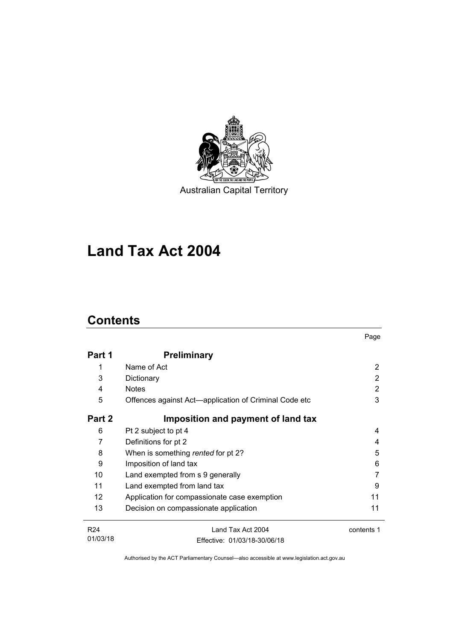

# **Land Tax Act 2004**

## **Contents**

|                 |                                                       | Page       |
|-----------------|-------------------------------------------------------|------------|
| Part 1          | <b>Preliminary</b>                                    |            |
| 1               | Name of Act                                           | 2          |
| 3               | Dictionary                                            | 2          |
| 4               | <b>Notes</b>                                          | 2          |
| 5               | Offences against Act—application of Criminal Code etc | 3          |
| Part 2          | Imposition and payment of land tax                    |            |
| 6               | Pt 2 subject to pt 4                                  | 4          |
| 7               | Definitions for pt 2                                  | 4          |
| 8               | When is something rented for pt 2?                    | 5          |
| 9               | Imposition of land tax                                | 6          |
| 10              | Land exempted from s 9 generally                      |            |
| 11              | Land exempted from land tax                           | 9          |
| 12 <sup>2</sup> | Application for compassionate case exemption          | 11         |
| 13              | Decision on compassionate application                 | 11         |
| R <sub>24</sub> | Land Tax Act 2004                                     | contents 1 |
| 01/03/18        | Effective: 01/03/18-30/06/18                          |            |

Authorised by the ACT Parliamentary Counsel—also accessible at www.legislation.act.gov.au

Effective: 01/03/18-30/06/18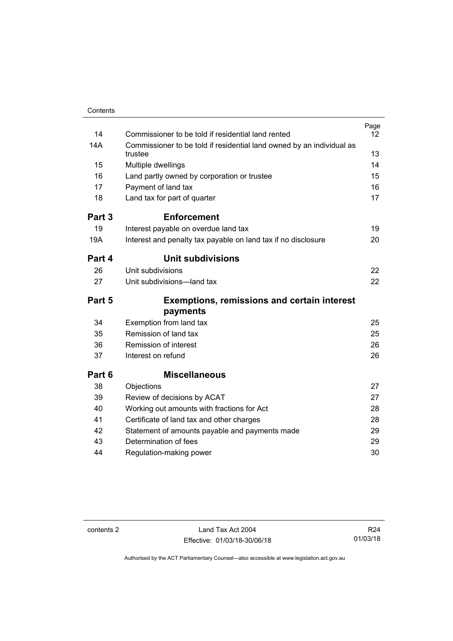| Contents |                                                                                  |      |
|----------|----------------------------------------------------------------------------------|------|
|          |                                                                                  | Page |
| 14       | Commissioner to be told if residential land rented                               | 12   |
| 14A      | Commissioner to be told if residential land owned by an individual as<br>trustee | 13   |
| 15       | Multiple dwellings                                                               | 14   |
| 16       | Land partly owned by corporation or trustee                                      | 15   |
| 17       | Payment of land tax                                                              | 16   |
| 18       | Land tax for part of quarter                                                     | 17   |
| Part 3   | <b>Enforcement</b>                                                               |      |
| 19       | Interest payable on overdue land tax                                             | 19   |
| 19A      | Interest and penalty tax payable on land tax if no disclosure                    | 20   |
| Part 4   | <b>Unit subdivisions</b>                                                         |      |
| 26       | Unit subdivisions                                                                | 22   |
| 27       | Unit subdivisions-land tax                                                       | 22   |
| Part 5   | <b>Exemptions, remissions and certain interest</b>                               |      |
|          | payments                                                                         |      |
| 34       | Exemption from land tax                                                          | 25   |
| 35       | Remission of land tax                                                            | 25   |
| 36       | Remission of interest                                                            | 26   |
| 37       | Interest on refund                                                               | 26   |
| Part 6   | <b>Miscellaneous</b>                                                             |      |
| 38       | Objections                                                                       | 27   |
| 39       | Review of decisions by ACAT                                                      | 27   |
| 40       | Working out amounts with fractions for Act                                       | 28   |
| 41       | Certificate of land tax and other charges                                        | 28   |
| 42       | Statement of amounts payable and payments made                                   | 29   |
| 43       | Determination of fees                                                            | 29   |
| 44       | Regulation-making power                                                          | 30   |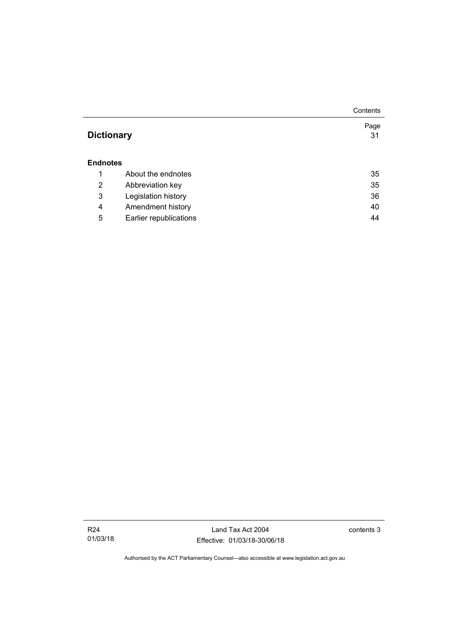|                   |                        | Contents |
|-------------------|------------------------|----------|
|                   |                        | Page     |
| <b>Dictionary</b> |                        | 31       |
|                   |                        |          |
| <b>Endnotes</b>   |                        |          |
| 1                 | About the endnotes     | 35       |
| 2                 | Abbreviation key       | 35       |
| 3                 | Legislation history    | 36       |
| 4                 | Amendment history      | 40       |
| 5                 | Earlier republications | 44       |

Land Tax Act 2004 Effective: 01/03/18-30/06/18 contents 3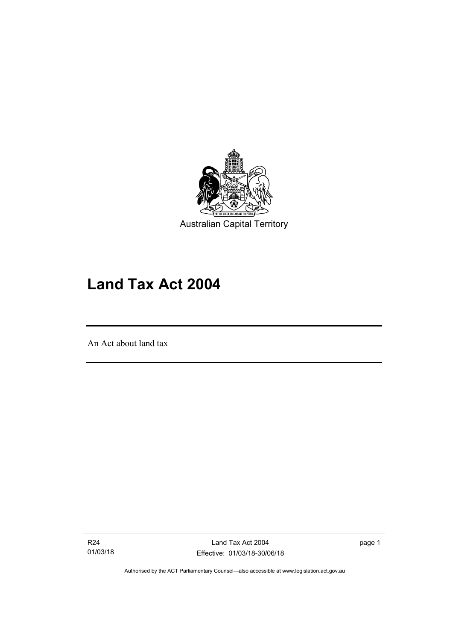

# **Land Tax Act 2004**

An Act about land tax

l

R24 01/03/18 page 1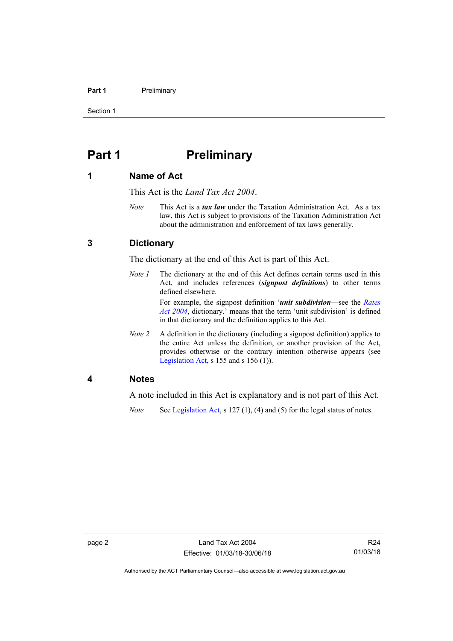#### **Part 1** Preliminary

Section 1

## <span id="page-7-0"></span>**Part 1** Preliminary

### <span id="page-7-1"></span>**1 Name of Act**

This Act is the *Land Tax Act 2004*.

*Note* This Act is a *tax law* under the Taxation Administration Act. As a tax law, this Act is subject to provisions of the Taxation Administration Act about the administration and enforcement of tax laws generally.

### <span id="page-7-2"></span>**3 Dictionary**

The dictionary at the end of this Act is part of this Act.

*Note 1* The dictionary at the end of this Act defines certain terms used in this Act, and includes references (*signpost definitions*) to other terms defined elsewhere.

> For example, the signpost definition '*unit subdivision*—see the *[Rates](http://www.legislation.act.gov.au/a/2004-3)  [Act 2004](http://www.legislation.act.gov.au/a/2004-3)*, dictionary.' means that the term 'unit subdivision' is defined in that dictionary and the definition applies to this Act.

*Note 2* A definition in the dictionary (including a signpost definition) applies to the entire Act unless the definition, or another provision of the Act, provides otherwise or the contrary intention otherwise appears (see [Legislation Act,](http://www.legislation.act.gov.au/a/2001-14) s  $155$  and s  $156$  (1)).

### <span id="page-7-3"></span>**4 Notes**

A note included in this Act is explanatory and is not part of this Act.

*Note* See [Legislation Act,](http://www.legislation.act.gov.au/a/2001-14) s 127 (1), (4) and (5) for the legal status of notes.

R24 01/03/18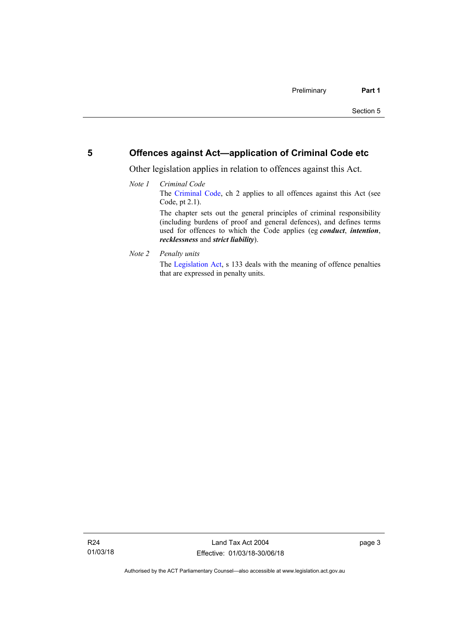### <span id="page-8-0"></span>**5 Offences against Act—application of Criminal Code etc**

Other legislation applies in relation to offences against this Act.

- *Note 1 Criminal Code* The [Criminal Code](http://www.legislation.act.gov.au/a/2002-51), ch 2 applies to all offences against this Act (see Code, pt 2.1). The chapter sets out the general principles of criminal responsibility (including burdens of proof and general defences), and defines terms used for offences to which the Code applies (eg *conduct*, *intention*, *recklessness* and *strict liability*).
- *Note 2 Penalty units*

The [Legislation Act](http://www.legislation.act.gov.au/a/2001-14), s 133 deals with the meaning of offence penalties that are expressed in penalty units.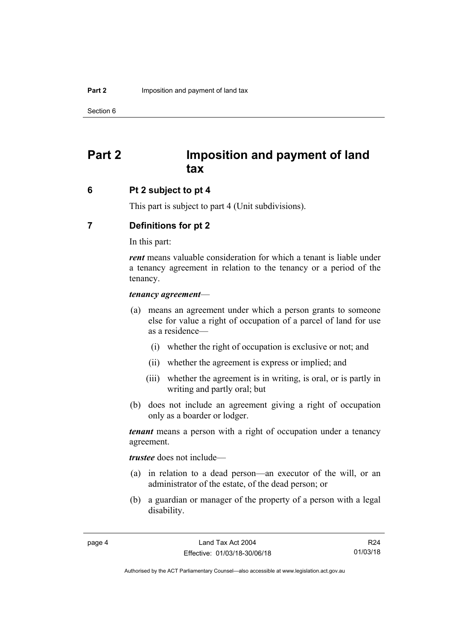## <span id="page-9-0"></span>**Part 2 Imposition and payment of land tax**

### <span id="page-9-1"></span>**6 Pt 2 subject to pt 4**

This part is subject to part 4 (Unit subdivisions).

### <span id="page-9-2"></span>**7 Definitions for pt 2**

In this part:

*rent* means valuable consideration for which a tenant is liable under a tenancy agreement in relation to the tenancy or a period of the tenancy.

#### *tenancy agreement*—

- (a) means an agreement under which a person grants to someone else for value a right of occupation of a parcel of land for use as a residence—
	- (i) whether the right of occupation is exclusive or not; and
	- (ii) whether the agreement is express or implied; and
	- (iii) whether the agreement is in writing, is oral, or is partly in writing and partly oral; but
- (b) does not include an agreement giving a right of occupation only as a boarder or lodger.

*tenant* means a person with a right of occupation under a tenancy agreement.

*trustee* does not include—

- (a) in relation to a dead person—an executor of the will, or an administrator of the estate, of the dead person; or
- (b) a guardian or manager of the property of a person with a legal disability.

R24 01/03/18

Authorised by the ACT Parliamentary Counsel—also accessible at www.legislation.act.gov.au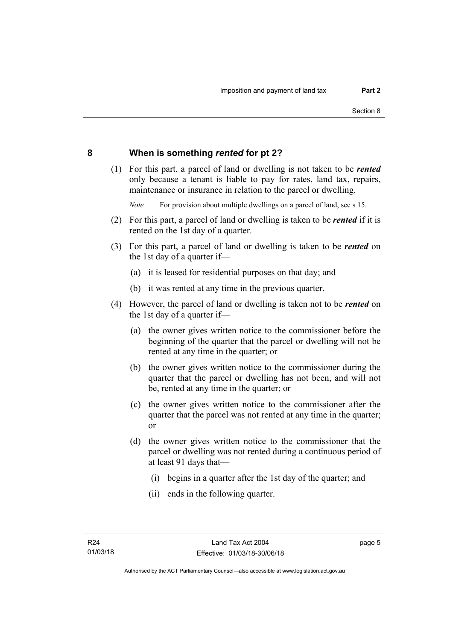### <span id="page-10-0"></span>**8 When is something** *rented* **for pt 2?**

 (1) For this part, a parcel of land or dwelling is not taken to be *rented* only because a tenant is liable to pay for rates, land tax, repairs, maintenance or insurance in relation to the parcel or dwelling.

*Note* For provision about multiple dwellings on a parcel of land, see s 15.

- (2) For this part, a parcel of land or dwelling is taken to be *rented* if it is rented on the 1st day of a quarter.
- (3) For this part, a parcel of land or dwelling is taken to be *rented* on the 1st day of a quarter if—
	- (a) it is leased for residential purposes on that day; and
	- (b) it was rented at any time in the previous quarter.
- (4) However, the parcel of land or dwelling is taken not to be *rented* on the 1st day of a quarter if—
	- (a) the owner gives written notice to the commissioner before the beginning of the quarter that the parcel or dwelling will not be rented at any time in the quarter; or
	- (b) the owner gives written notice to the commissioner during the quarter that the parcel or dwelling has not been, and will not be, rented at any time in the quarter; or
	- (c) the owner gives written notice to the commissioner after the quarter that the parcel was not rented at any time in the quarter; or
	- (d) the owner gives written notice to the commissioner that the parcel or dwelling was not rented during a continuous period of at least 91 days that—
		- (i) begins in a quarter after the 1st day of the quarter; and
		- (ii) ends in the following quarter.

page 5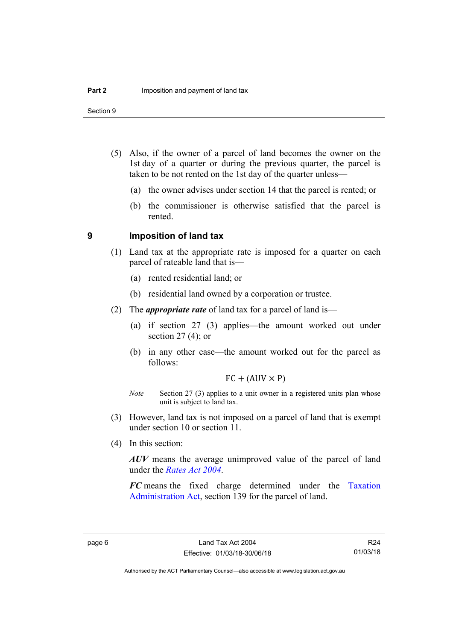Section 9

- (5) Also, if the owner of a parcel of land becomes the owner on the 1st day of a quarter or during the previous quarter, the parcel is taken to be not rented on the 1st day of the quarter unless—
	- (a) the owner advises under section 14 that the parcel is rented; or
	- (b) the commissioner is otherwise satisfied that the parcel is rented.

### <span id="page-11-0"></span>**9 Imposition of land tax**

- (1) Land tax at the appropriate rate is imposed for a quarter on each parcel of rateable land that is—
	- (a) rented residential land; or
	- (b) residential land owned by a corporation or trustee.
- (2) The *appropriate rate* of land tax for a parcel of land is—
	- (a) if section 27 (3) applies—the amount worked out under section  $27(4)$ ; or
	- (b) in any other case—the amount worked out for the parcel as follows:

 $FC + (AUV \times P)$ 

- *Note* Section 27 (3) applies to a unit owner in a registered units plan whose unit is subject to land tax.
- (3) However, land tax is not imposed on a parcel of land that is exempt under section 10 or section 11.
- (4) In this section:

*AUV* means the average unimproved value of the parcel of land under the *[Rates Act 2004](http://www.legislation.act.gov.au/a/2004-3)*.

*FC* means the fixed charge determined under the [Taxation](http://www.legislation.act.gov.au/a/1999-4/default.asp)  [Administration Act](http://www.legislation.act.gov.au/a/1999-4/default.asp), section 139 for the parcel of land.

R24 01/03/18

Authorised by the ACT Parliamentary Counsel—also accessible at www.legislation.act.gov.au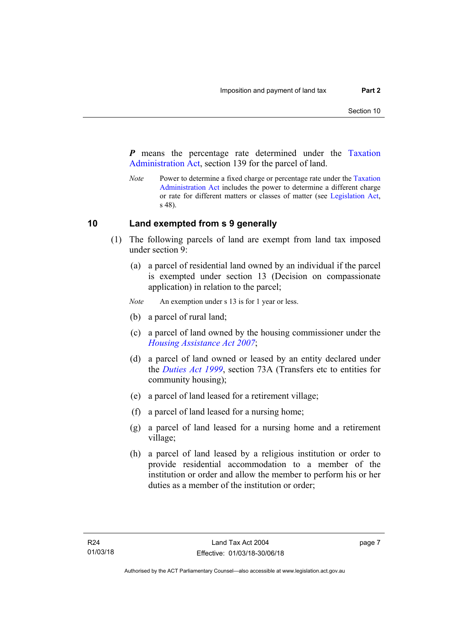*P* means the percentage rate determined under the [Taxation](http://www.legislation.act.gov.au/a/1999-4/default.asp)  [Administration Act](http://www.legislation.act.gov.au/a/1999-4/default.asp), section 139 for the parcel of land.

*Note* Power to determine a fixed charge or percentage rate under the Taxation [Administration Act](http://www.legislation.act.gov.au/a/1999-4/default.asp) includes the power to determine a different charge or rate for different matters or classes of matter (see [Legislation Act,](http://www.legislation.act.gov.au/a/2001-14) s 48).

### <span id="page-12-0"></span>**10 Land exempted from s 9 generally**

- (1) The following parcels of land are exempt from land tax imposed under section 9:
	- (a) a parcel of residential land owned by an individual if the parcel is exempted under section 13 (Decision on compassionate application) in relation to the parcel;
	- *Note* An exemption under s 13 is for 1 year or less.
	- (b) a parcel of rural land;
	- (c) a parcel of land owned by the housing commissioner under the *[Housing Assistance Act 2007](http://www.legislation.act.gov.au/a/2007-8)*;
	- (d) a parcel of land owned or leased by an entity declared under the *[Duties Act 1999](http://www.legislation.act.gov.au/a/1999-7)*, section 73A (Transfers etc to entities for community housing);
	- (e) a parcel of land leased for a retirement village;
	- (f) a parcel of land leased for a nursing home;
	- (g) a parcel of land leased for a nursing home and a retirement village;
	- (h) a parcel of land leased by a religious institution or order to provide residential accommodation to a member of the institution or order and allow the member to perform his or her duties as a member of the institution or order;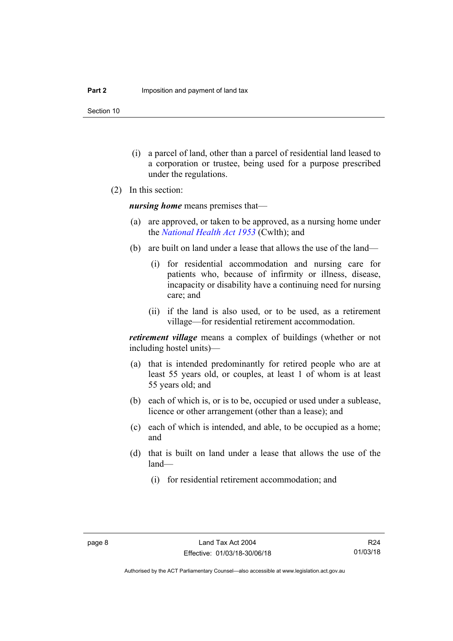Section 10

- (i) a parcel of land, other than a parcel of residential land leased to a corporation or trustee, being used for a purpose prescribed under the regulations.
- (2) In this section:

*nursing home* means premises that—

- (a) are approved, or taken to be approved, as a nursing home under the *[National Health Act 1953](http://www.comlaw.gov.au/Details/C2013C00083)* (Cwlth); and
- (b) are built on land under a lease that allows the use of the land—
	- (i) for residential accommodation and nursing care for patients who, because of infirmity or illness, disease, incapacity or disability have a continuing need for nursing care; and
	- (ii) if the land is also used, or to be used, as a retirement village—for residential retirement accommodation.

*retirement village* means a complex of buildings (whether or not including hostel units)—

- (a) that is intended predominantly for retired people who are at least 55 years old, or couples, at least 1 of whom is at least 55 years old; and
- (b) each of which is, or is to be, occupied or used under a sublease, licence or other arrangement (other than a lease); and
- (c) each of which is intended, and able, to be occupied as a home; and
- (d) that is built on land under a lease that allows the use of the land—
	- (i) for residential retirement accommodation; and

Authorised by the ACT Parliamentary Counsel—also accessible at www.legislation.act.gov.au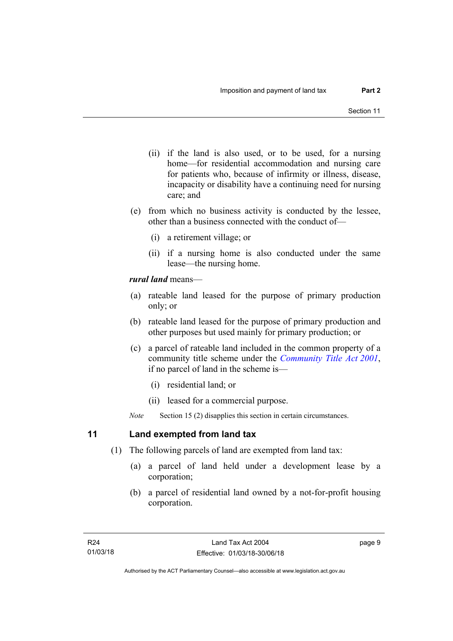- (ii) if the land is also used, or to be used, for a nursing home—for residential accommodation and nursing care for patients who, because of infirmity or illness, disease, incapacity or disability have a continuing need for nursing care; and
- (e) from which no business activity is conducted by the lessee, other than a business connected with the conduct of—
	- (i) a retirement village; or
	- (ii) if a nursing home is also conducted under the same lease—the nursing home.

### *rural land* means—

- (a) rateable land leased for the purpose of primary production only; or
- (b) rateable land leased for the purpose of primary production and other purposes but used mainly for primary production; or
- (c) a parcel of rateable land included in the common property of a community title scheme under the *[Community Title Act 2001](http://www.legislation.act.gov.au/a/2001-58)*, if no parcel of land in the scheme is—
	- (i) residential land; or
	- (ii) leased for a commercial purpose.
- *Note* Section 15 (2) disapplies this section in certain circumstances.

### <span id="page-14-0"></span>**11 Land exempted from land tax**

- (1) The following parcels of land are exempted from land tax:
	- (a) a parcel of land held under a development lease by a corporation;
	- (b) a parcel of residential land owned by a not-for-profit housing corporation.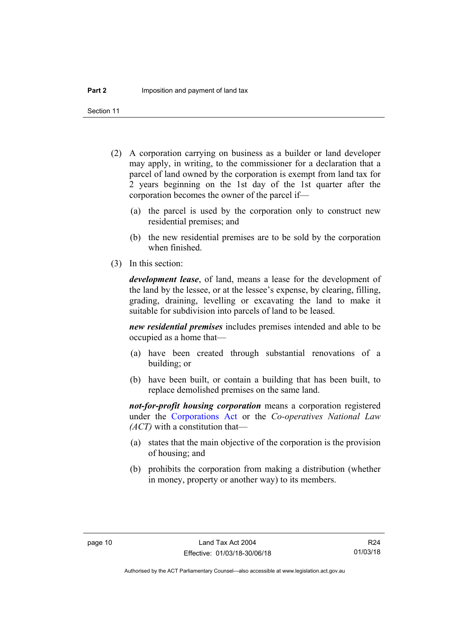Section 11

- (2) A corporation carrying on business as a builder or land developer may apply, in writing, to the commissioner for a declaration that a parcel of land owned by the corporation is exempt from land tax for 2 years beginning on the 1st day of the 1st quarter after the corporation becomes the owner of the parcel if—
	- (a) the parcel is used by the corporation only to construct new residential premises; and
	- (b) the new residential premises are to be sold by the corporation when finished.
- (3) In this section:

*development lease*, of land, means a lease for the development of the land by the lessee, or at the lessee's expense, by clearing, filling, grading, draining, levelling or excavating the land to make it suitable for subdivision into parcels of land to be leased.

*new residential premises* includes premises intended and able to be occupied as a home that—

- (a) have been created through substantial renovations of a building; or
- (b) have been built, or contain a building that has been built, to replace demolished premises on the same land.

*not-for-profit housing corporation* means a corporation registered under the [Corporations Act](http://www.comlaw.gov.au/Series/C2004A00818) or the *Co-operatives National Law (ACT)* with a constitution that—

- (a) states that the main objective of the corporation is the provision of housing; and
- (b) prohibits the corporation from making a distribution (whether in money, property or another way) to its members.

R24 01/03/18

Authorised by the ACT Parliamentary Counsel—also accessible at www.legislation.act.gov.au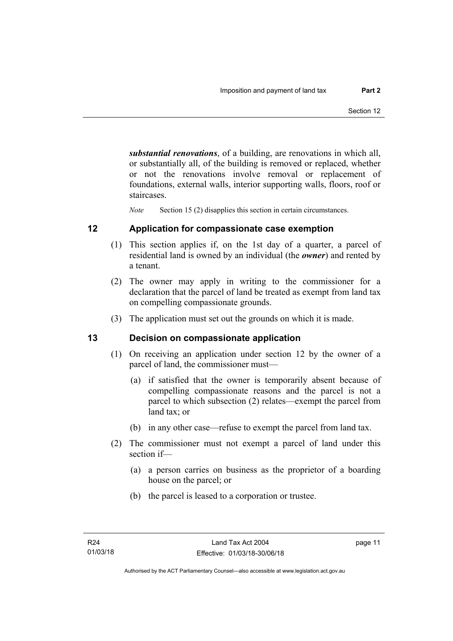*substantial renovations*, of a building, are renovations in which all, or substantially all, of the building is removed or replaced, whether or not the renovations involve removal or replacement of foundations, external walls, interior supporting walls, floors, roof or staircases.

*Note* Section 15 (2) disapplies this section in certain circumstances.

### <span id="page-16-0"></span>**12 Application for compassionate case exemption**

- (1) This section applies if, on the 1st day of a quarter, a parcel of residential land is owned by an individual (the *owner*) and rented by a tenant.
- (2) The owner may apply in writing to the commissioner for a declaration that the parcel of land be treated as exempt from land tax on compelling compassionate grounds.
- (3) The application must set out the grounds on which it is made.

### <span id="page-16-1"></span>**13 Decision on compassionate application**

- (1) On receiving an application under section 12 by the owner of a parcel of land, the commissioner must—
	- (a) if satisfied that the owner is temporarily absent because of compelling compassionate reasons and the parcel is not a parcel to which subsection (2) relates—exempt the parcel from land tax; or
	- (b) in any other case—refuse to exempt the parcel from land tax.
- (2) The commissioner must not exempt a parcel of land under this section if—
	- (a) a person carries on business as the proprietor of a boarding house on the parcel; or
	- (b) the parcel is leased to a corporation or trustee.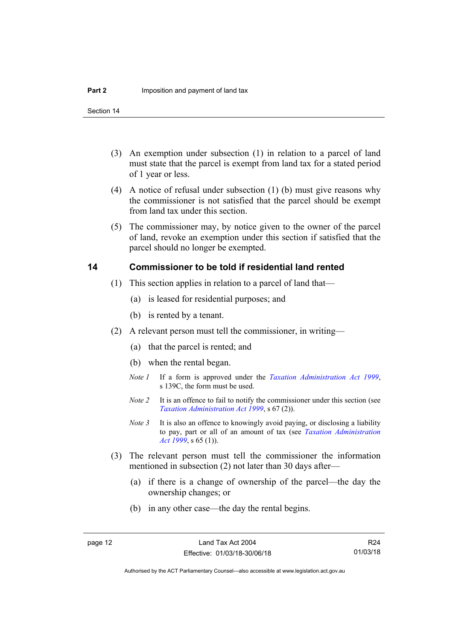Section 14

- (3) An exemption under subsection (1) in relation to a parcel of land must state that the parcel is exempt from land tax for a stated period of 1 year or less.
- (4) A notice of refusal under subsection (1) (b) must give reasons why the commissioner is not satisfied that the parcel should be exempt from land tax under this section.
- (5) The commissioner may, by notice given to the owner of the parcel of land, revoke an exemption under this section if satisfied that the parcel should no longer be exempted.

### <span id="page-17-0"></span>**14 Commissioner to be told if residential land rented**

- (1) This section applies in relation to a parcel of land that—
	- (a) is leased for residential purposes; and
	- (b) is rented by a tenant.
- (2) A relevant person must tell the commissioner, in writing—
	- (a) that the parcel is rented; and
	- (b) when the rental began.
	- *Note 1* If a form is approved under the *[Taxation Administration Act 1999](http://www.legislation.act.gov.au/a/1999-4)*, s 139C, the form must be used.
	- *Note 2* It is an offence to fail to notify the commissioner under this section (see *[Taxation Administration Act 1999](http://www.legislation.act.gov.au/a/1999-4)*, s 67 (2)).
	- *Note 3* It is also an offence to knowingly avoid paying, or disclosing a liability to pay, part or all of an amount of tax (see *[Taxation Administration](http://www.legislation.act.gov.au/a/1999-4)  [Act 1999](http://www.legislation.act.gov.au/a/1999-4)*, s 65 (1)).
- (3) The relevant person must tell the commissioner the information mentioned in subsection (2) not later than 30 days after—
	- (a) if there is a change of ownership of the parcel—the day the ownership changes; or
	- (b) in any other case—the day the rental begins.

R24 01/03/18

Authorised by the ACT Parliamentary Counsel—also accessible at www.legislation.act.gov.au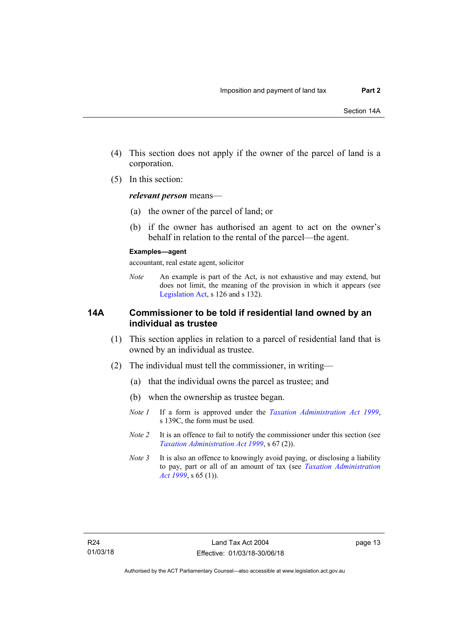- (4) This section does not apply if the owner of the parcel of land is a corporation.
- (5) In this section:

*relevant person* means—

- (a) the owner of the parcel of land; or
- (b) if the owner has authorised an agent to act on the owner's behalf in relation to the rental of the parcel—the agent.

#### **Examples—agent**

accountant, real estate agent, solicitor

*Note* An example is part of the Act, is not exhaustive and may extend, but does not limit, the meaning of the provision in which it appears (see [Legislation Act,](http://www.legislation.act.gov.au/a/2001-14) s 126 and s 132).

### <span id="page-18-0"></span>**14A Commissioner to be told if residential land owned by an individual as trustee**

- (1) This section applies in relation to a parcel of residential land that is owned by an individual as trustee.
- (2) The individual must tell the commissioner, in writing—
	- (a) that the individual owns the parcel as trustee; and
	- (b) when the ownership as trustee began.
	- *Note 1* If a form is approved under the *[Taxation Administration Act 1999](http://www.legislation.act.gov.au/a/1999-4)*, s 139C, the form must be used.
	- *Note 2* It is an offence to fail to notify the commissioner under this section (see *[Taxation Administration Act 1999](http://www.legislation.act.gov.au/a/1999-4)*, s 67 (2)).
	- *Note 3* It is also an offence to knowingly avoid paying, or disclosing a liability to pay, part or all of an amount of tax (see *[Taxation Administration](http://www.legislation.act.gov.au/a/1999-4)  [Act 1999](http://www.legislation.act.gov.au/a/1999-4)*, s 65 (1)).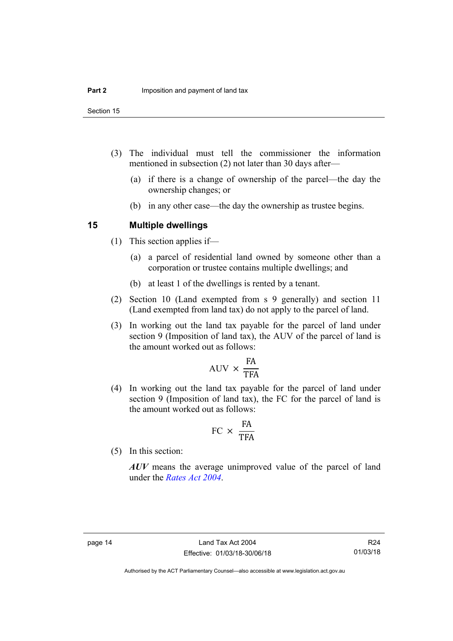Section 15

- (3) The individual must tell the commissioner the information mentioned in subsection (2) not later than 30 days after—
	- (a) if there is a change of ownership of the parcel—the day the ownership changes; or
	- (b) in any other case—the day the ownership as trustee begins.

### <span id="page-19-0"></span>**15 Multiple dwellings**

- (1) This section applies if—
	- (a) a parcel of residential land owned by someone other than a corporation or trustee contains multiple dwellings; and
	- (b) at least 1 of the dwellings is rented by a tenant.
- (2) Section 10 (Land exempted from s 9 generally) and section 11 (Land exempted from land tax) do not apply to the parcel of land.
- (3) In working out the land tax payable for the parcel of land under section 9 (Imposition of land tax), the AUV of the parcel of land is the amount worked out as follows:

$$
AUV \times \frac{FA}{TFA}
$$

 (4) In working out the land tax payable for the parcel of land under section 9 (Imposition of land tax), the FC for the parcel of land is the amount worked out as follows:

$$
FC \times \frac{FA}{TFA}
$$

(5) In this section:

*AUV* means the average unimproved value of the parcel of land under the *[Rates Act 2004](http://www.legislation.act.gov.au/a/2004-3)*.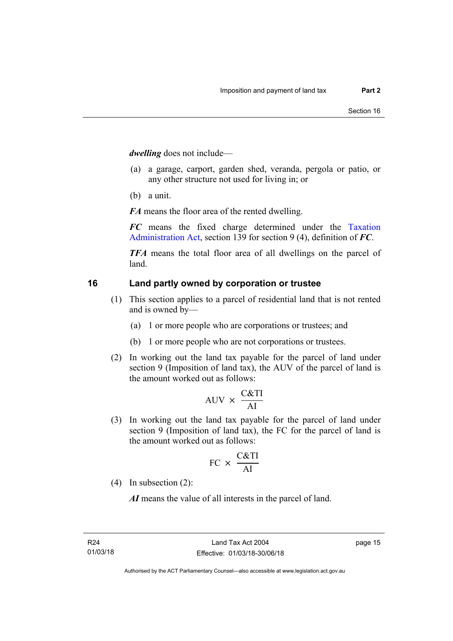*dwelling* does not include—

- (a) a garage, carport, garden shed, veranda, pergola or patio, or any other structure not used for living in; or
- (b) a unit.

*FA* means the floor area of the rented dwelling.

*FC* means the fixed charge determined under the [Taxation](http://www.legislation.act.gov.au/a/1999-4/default.asp)  [Administration Act](http://www.legislation.act.gov.au/a/1999-4/default.asp), section 139 for section 9 (4), definition of *FC*.

*TFA* means the total floor area of all dwellings on the parcel of land.

### <span id="page-20-0"></span>**16 Land partly owned by corporation or trustee**

- (1) This section applies to a parcel of residential land that is not rented and is owned by—
	- (a) 1 or more people who are corporations or trustees; and
	- (b) 1 or more people who are not corporations or trustees.
- (2) In working out the land tax payable for the parcel of land under section 9 (Imposition of land tax), the AUV of the parcel of land is the amount worked out as follows:

$$
AUV \times \frac{C&TI}{AI}
$$

 (3) In working out the land tax payable for the parcel of land under section 9 (Imposition of land tax), the FC for the parcel of land is the amount worked out as follows:

$$
FC \times \frac{C&TI}{AI}
$$

(4) In subsection (2):

*AI* means the value of all interests in the parcel of land.

page 15

Authorised by the ACT Parliamentary Counsel—also accessible at www.legislation.act.gov.au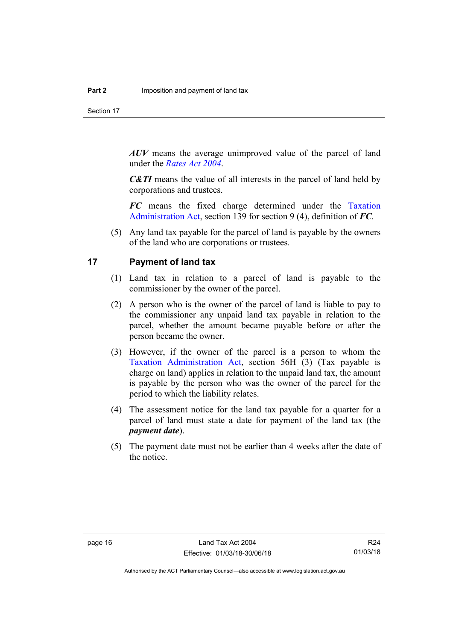Section 17

*AUV* means the average unimproved value of the parcel of land under the *[Rates Act 2004](http://www.legislation.act.gov.au/a/2004-3)*.

*C&TI* means the value of all interests in the parcel of land held by corporations and trustees.

*FC* means the fixed charge determined under the [Taxation](http://www.legislation.act.gov.au/a/1999-4/default.asp)  [Administration Act](http://www.legislation.act.gov.au/a/1999-4/default.asp), section 139 for section 9 (4), definition of *FC*.

 (5) Any land tax payable for the parcel of land is payable by the owners of the land who are corporations or trustees.

### <span id="page-21-0"></span>**17 Payment of land tax**

- (1) Land tax in relation to a parcel of land is payable to the commissioner by the owner of the parcel.
- (2) A person who is the owner of the parcel of land is liable to pay to the commissioner any unpaid land tax payable in relation to the parcel, whether the amount became payable before or after the person became the owner.
- (3) However, if the owner of the parcel is a person to whom the [Taxation Administration Act](http://www.legislation.act.gov.au/a/1999-4/default.asp), section 56H (3) (Tax payable is charge on land) applies in relation to the unpaid land tax, the amount is payable by the person who was the owner of the parcel for the period to which the liability relates.
- (4) The assessment notice for the land tax payable for a quarter for a parcel of land must state a date for payment of the land tax (the *payment date*).
- (5) The payment date must not be earlier than 4 weeks after the date of the notice.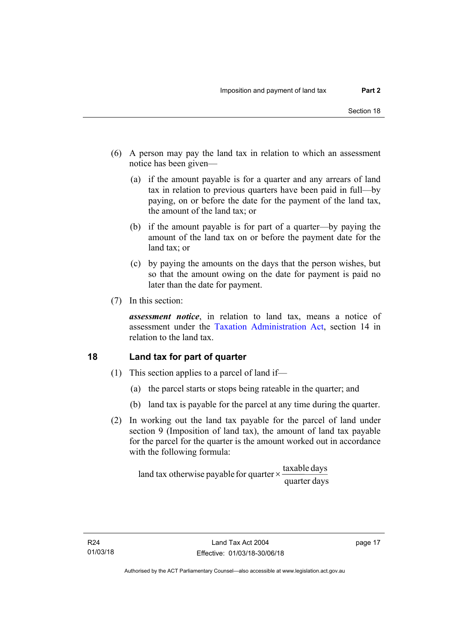- (6) A person may pay the land tax in relation to which an assessment notice has been given—
	- (a) if the amount payable is for a quarter and any arrears of land tax in relation to previous quarters have been paid in full—by paying, on or before the date for the payment of the land tax, the amount of the land tax; or
	- (b) if the amount payable is for part of a quarter—by paying the amount of the land tax on or before the payment date for the land tax; or
	- (c) by paying the amounts on the days that the person wishes, but so that the amount owing on the date for payment is paid no later than the date for payment.
- (7) In this section:

*assessment notice*, in relation to land tax, means a notice of assessment under the [Taxation Administration Act,](http://www.legislation.act.gov.au/a/1999-4/default.asp) section 14 in relation to the land tax.

### <span id="page-22-0"></span>**18 Land tax for part of quarter**

- (1) This section applies to a parcel of land if—
	- (a) the parcel starts or stops being rateable in the quarter; and
	- (b) land tax is payable for the parcel at any time during the quarter.
- (2) In working out the land tax payable for the parcel of land under section 9 (Imposition of land tax), the amount of land tax payable for the parcel for the quarter is the amount worked out in accordance with the following formula:

quarter days land tax otherwise payable for quarter  $\times$   $\frac{\text{taxable days}}{\text{ax}$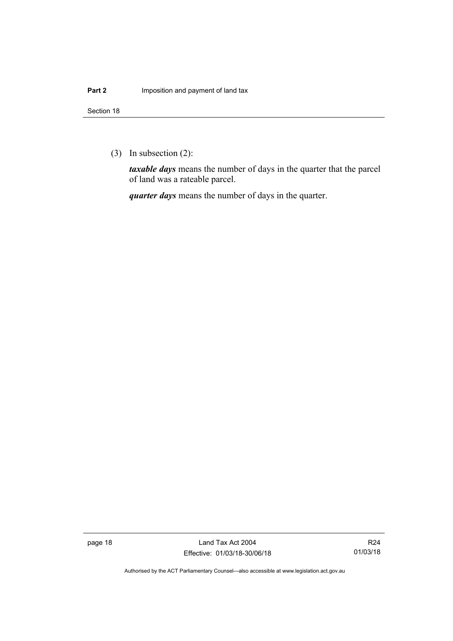(3) In subsection (2):

*taxable days* means the number of days in the quarter that the parcel of land was a rateable parcel.

*quarter days* means the number of days in the quarter.

page 18 Land Tax Act 2004 Effective: 01/03/18-30/06/18

R24 01/03/18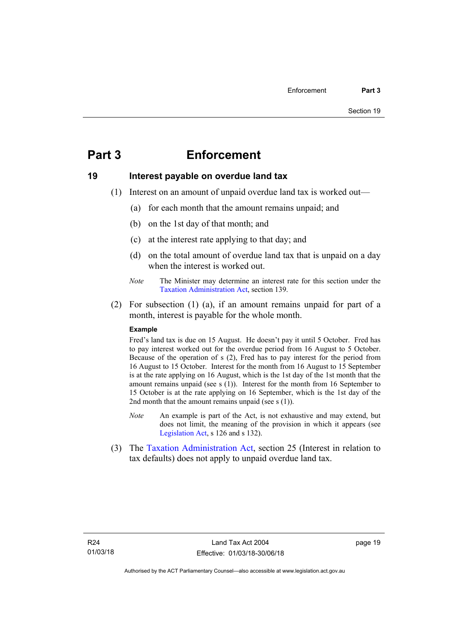## <span id="page-24-0"></span>**Part 3 Enforcement**

### <span id="page-24-1"></span>**19 Interest payable on overdue land tax**

- (1) Interest on an amount of unpaid overdue land tax is worked out—
	- (a) for each month that the amount remains unpaid; and
	- (b) on the 1st day of that month; and
	- (c) at the interest rate applying to that day; and
	- (d) on the total amount of overdue land tax that is unpaid on a day when the interest is worked out.
	- *Note* The Minister may determine an interest rate for this section under the [Taxation Administration Act,](http://www.legislation.act.gov.au/a/1999-4/default.asp) section 139.
- (2) For subsection (1) (a), if an amount remains unpaid for part of a month, interest is payable for the whole month.

#### **Example**

Fred's land tax is due on 15 August. He doesn't pay it until 5 October. Fred has to pay interest worked out for the overdue period from 16 August to 5 October. Because of the operation of s (2), Fred has to pay interest for the period from 16 August to 15 October. Interest for the month from 16 August to 15 September is at the rate applying on 16 August, which is the 1st day of the 1st month that the amount remains unpaid (see s (1)). Interest for the month from 16 September to 15 October is at the rate applying on 16 September, which is the 1st day of the 2nd month that the amount remains unpaid (see s (1)).

- *Note* An example is part of the Act, is not exhaustive and may extend, but does not limit, the meaning of the provision in which it appears (see [Legislation Act,](http://www.legislation.act.gov.au/a/2001-14) s 126 and s 132).
- (3) The [Taxation Administration Act,](http://www.legislation.act.gov.au/a/1999-4/default.asp) section 25 (Interest in relation to tax defaults) does not apply to unpaid overdue land tax.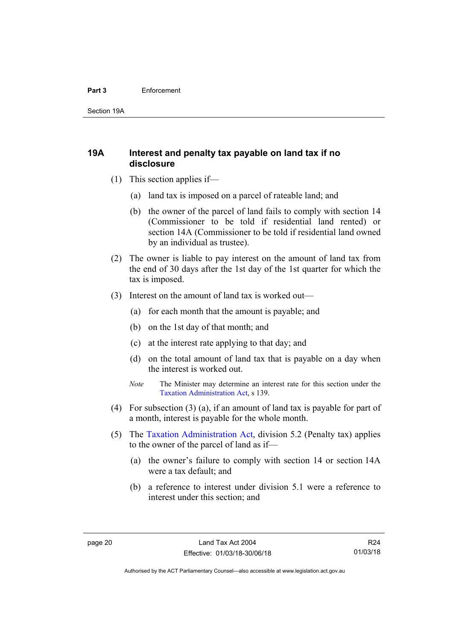#### **Part 3** Enforcement

Section 19A

### <span id="page-25-0"></span>**19A Interest and penalty tax payable on land tax if no disclosure**

- (1) This section applies if—
	- (a) land tax is imposed on a parcel of rateable land; and
	- (b) the owner of the parcel of land fails to comply with section 14 (Commissioner to be told if residential land rented) or section 14A (Commissioner to be told if residential land owned by an individual as trustee).
- (2) The owner is liable to pay interest on the amount of land tax from the end of 30 days after the 1st day of the 1st quarter for which the tax is imposed.
- (3) Interest on the amount of land tax is worked out—
	- (a) for each month that the amount is payable; and
	- (b) on the 1st day of that month; and
	- (c) at the interest rate applying to that day; and
	- (d) on the total amount of land tax that is payable on a day when the interest is worked out.
	- *Note* The Minister may determine an interest rate for this section under the [Taxation Administration Act,](http://www.legislation.act.gov.au/a/1999-4/default.asp) s 139.
- (4) For subsection (3) (a), if an amount of land tax is payable for part of a month, interest is payable for the whole month.
- (5) The [Taxation Administration Act,](http://www.legislation.act.gov.au/a/1999-4/default.asp) division 5.2 (Penalty tax) applies to the owner of the parcel of land as if—
	- (a) the owner's failure to comply with section 14 or section 14A were a tax default; and
	- (b) a reference to interest under division 5.1 were a reference to interest under this section; and

Authorised by the ACT Parliamentary Counsel—also accessible at www.legislation.act.gov.au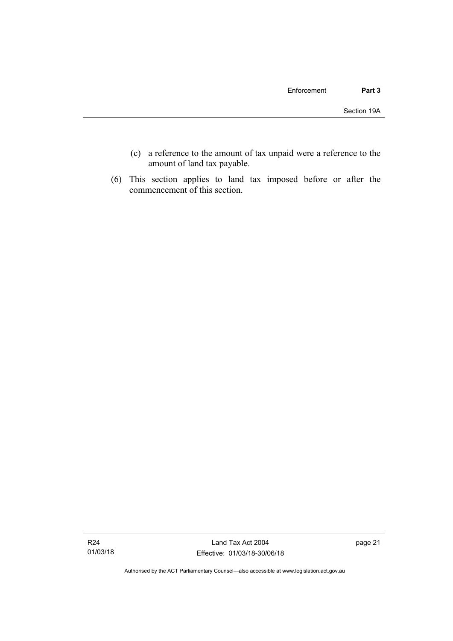- (c) a reference to the amount of tax unpaid were a reference to the amount of land tax payable.
- (6) This section applies to land tax imposed before or after the commencement of this section.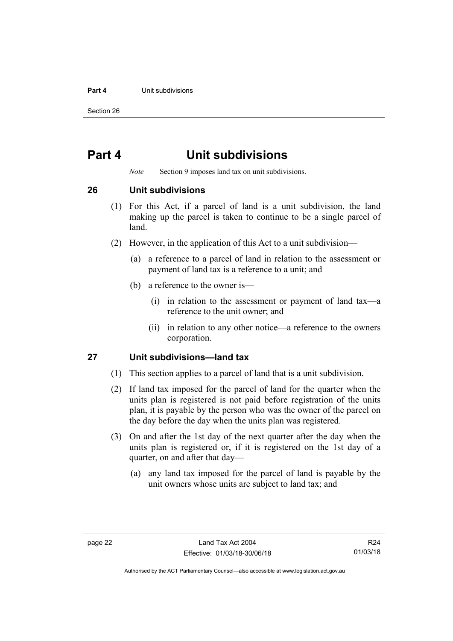#### **Part 4 Unit subdivisions**

Section 26

## <span id="page-27-0"></span>**Part 4 Unit subdivisions**

*Note* Section 9 imposes land tax on unit subdivisions.

<span id="page-27-1"></span>**26 Unit subdivisions** 

- (1) For this Act, if a parcel of land is a unit subdivision, the land making up the parcel is taken to continue to be a single parcel of land.
- (2) However, in the application of this Act to a unit subdivision—
	- (a) a reference to a parcel of land in relation to the assessment or payment of land tax is a reference to a unit; and
	- (b) a reference to the owner is—
		- (i) in relation to the assessment or payment of land tax—a reference to the unit owner; and
		- (ii) in relation to any other notice—a reference to the owners corporation.

### <span id="page-27-2"></span>**27 Unit subdivisions—land tax**

- (1) This section applies to a parcel of land that is a unit subdivision.
- (2) If land tax imposed for the parcel of land for the quarter when the units plan is registered is not paid before registration of the units plan, it is payable by the person who was the owner of the parcel on the day before the day when the units plan was registered.
- (3) On and after the 1st day of the next quarter after the day when the units plan is registered or, if it is registered on the 1st day of a quarter, on and after that day—
	- (a) any land tax imposed for the parcel of land is payable by the unit owners whose units are subject to land tax; and

R24 01/03/18

Authorised by the ACT Parliamentary Counsel—also accessible at www.legislation.act.gov.au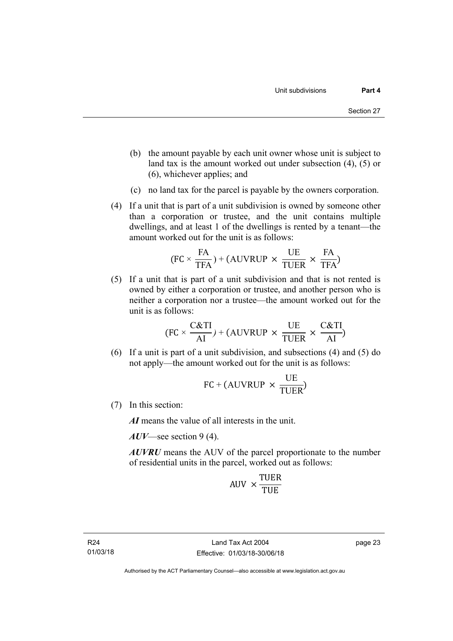- (b) the amount payable by each unit owner whose unit is subject to land tax is the amount worked out under subsection (4), (5) or (6), whichever applies; and
- (c) no land tax for the parcel is payable by the owners corporation.
- (4) If a unit that is part of a unit subdivision is owned by someone other than a corporation or trustee, and the unit contains multiple dwellings, and at least 1 of the dwellings is rented by a tenant—the amount worked out for the unit is as follows:

$$
(FC \times \frac{FA}{TFA}) + (AUVRUP \times \frac{UE}{TUER} \times \frac{FA}{TFA})
$$

 (5) If a unit that is part of a unit subdivision and that is not rented is owned by either a corporation or trustee, and another person who is neither a corporation nor a trustee—the amount worked out for the unit is as follows:

$$
(FC \times \frac{C&TI}{AI}) + (AUVRUP \times \frac{UE}{TUER} \times \frac{C&TI}{AI})
$$

 (6) If a unit is part of a unit subdivision, and subsections (4) and (5) do not apply—the amount worked out for the unit is as follows:

$$
FC + (AUVRUP \times \frac{UE}{TUER})
$$

(7) In this section:

*AI* means the value of all interests in the unit.

*AUV*—see section 9 (4).

*AUVRU* means the AUV of the parcel proportionate to the number of residential units in the parcel, worked out as follows:

$$
AUV \times \frac{TUER}{TUE}
$$

R24 01/03/18 page 23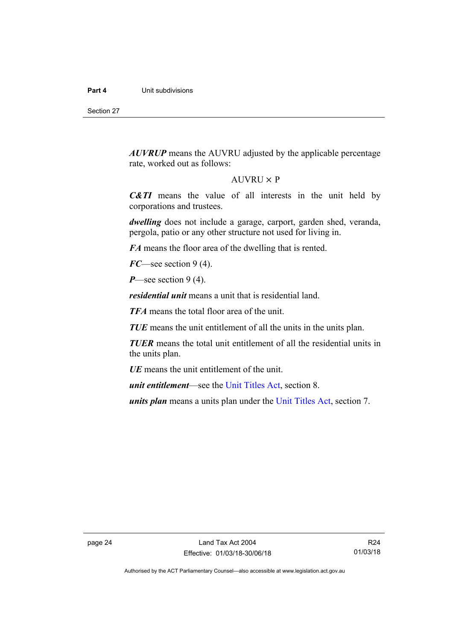Section 27

*AUVRUP* means the AUVRU adjusted by the applicable percentage rate, worked out as follows:

#### $AUVRU \times P$

*C&TI* means the value of all interests in the unit held by corporations and trustees.

*dwelling* does not include a garage, carport, garden shed, veranda, pergola, patio or any other structure not used for living in.

*FA* means the floor area of the dwelling that is rented.

*FC*—see section 9 (4).

*P*—see section 9 (4).

*residential unit* means a unit that is residential land.

*TFA* means the total floor area of the unit.

*TUE* means the unit entitlement of all the units in the units plan.

*TUER* means the total unit entitlement of all the residential units in the units plan.

*UE* means the unit entitlement of the unit.

*unit entitlement*—see the [Unit Titles Act](http://www.legislation.act.gov.au/a/2001-16/default.asp), section 8.

*units plan* means a units plan under the [Unit Titles Act,](http://www.legislation.act.gov.au/a/2001-16/default.asp) section 7.

R24 01/03/18

Authorised by the ACT Parliamentary Counsel—also accessible at www.legislation.act.gov.au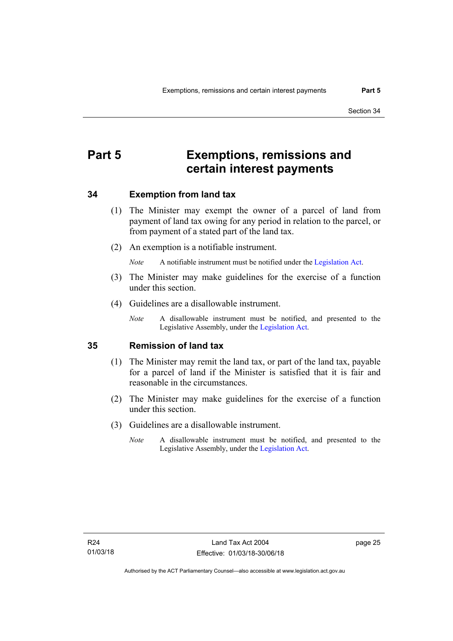## <span id="page-30-0"></span>**Part 5 Exemptions, remissions and certain interest payments**

### <span id="page-30-1"></span>**34 Exemption from land tax**

- (1) The Minister may exempt the owner of a parcel of land from payment of land tax owing for any period in relation to the parcel, or from payment of a stated part of the land tax.
- (2) An exemption is a notifiable instrument.

*Note* A notifiable instrument must be notified under the [Legislation Act](http://www.legislation.act.gov.au/a/2001-14).

- (3) The Minister may make guidelines for the exercise of a function under this section.
- (4) Guidelines are a disallowable instrument.
	- *Note* A disallowable instrument must be notified, and presented to the Legislative Assembly, under the [Legislation Act.](http://www.legislation.act.gov.au/a/2001-14)

#### <span id="page-30-2"></span>**35 Remission of land tax**

- (1) The Minister may remit the land tax, or part of the land tax, payable for a parcel of land if the Minister is satisfied that it is fair and reasonable in the circumstances.
- (2) The Minister may make guidelines for the exercise of a function under this section.
- (3) Guidelines are a disallowable instrument.
	- *Note* A disallowable instrument must be notified, and presented to the Legislative Assembly, under the [Legislation Act.](http://www.legislation.act.gov.au/a/2001-14)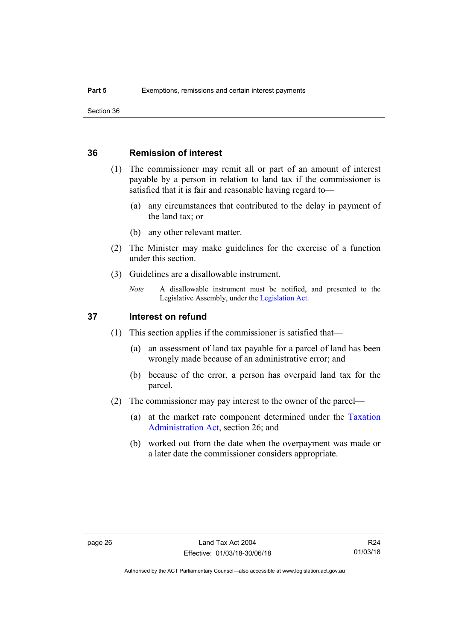### <span id="page-31-0"></span>**36 Remission of interest**

- (1) The commissioner may remit all or part of an amount of interest payable by a person in relation to land tax if the commissioner is satisfied that it is fair and reasonable having regard to—
	- (a) any circumstances that contributed to the delay in payment of the land tax; or
	- (b) any other relevant matter.
- (2) The Minister may make guidelines for the exercise of a function under this section.
- (3) Guidelines are a disallowable instrument.
	- *Note* A disallowable instrument must be notified, and presented to the Legislative Assembly, under the [Legislation Act.](http://www.legislation.act.gov.au/a/2001-14)

### <span id="page-31-1"></span>**37 Interest on refund**

- (1) This section applies if the commissioner is satisfied that—
	- (a) an assessment of land tax payable for a parcel of land has been wrongly made because of an administrative error; and
	- (b) because of the error, a person has overpaid land tax for the parcel.
- (2) The commissioner may pay interest to the owner of the parcel—
	- (a) at the market rate component determined under the [Taxation](http://www.legislation.act.gov.au/a/1999-4/default.asp)  [Administration Act](http://www.legislation.act.gov.au/a/1999-4/default.asp), section 26; and
	- (b) worked out from the date when the overpayment was made or a later date the commissioner considers appropriate.

R24 01/03/18

Authorised by the ACT Parliamentary Counsel—also accessible at www.legislation.act.gov.au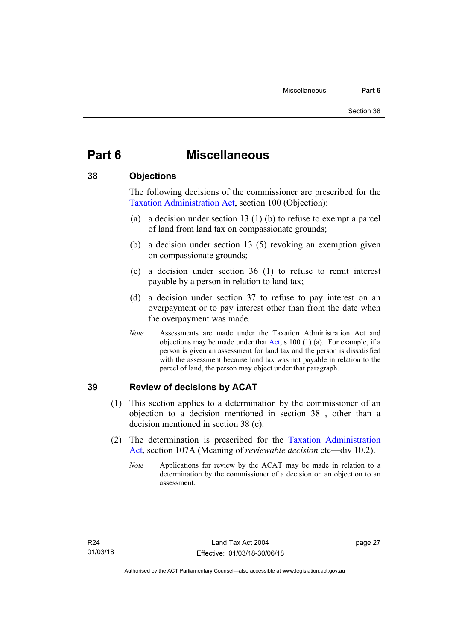## <span id="page-32-0"></span>**Part 6 Miscellaneous**

### <span id="page-32-1"></span>**38 Objections**

The following decisions of the commissioner are prescribed for the [Taxation Administration Act,](http://www.legislation.act.gov.au/a/1999-4/default.asp) section 100 (Objection):

- (a) a decision under section 13 (1) (b) to refuse to exempt a parcel of land from land tax on compassionate grounds;
- (b) a decision under section 13 (5) revoking an exemption given on compassionate grounds;
- (c) a decision under section 36 (1) to refuse to remit interest payable by a person in relation to land tax;
- (d) a decision under section 37 to refuse to pay interest on an overpayment or to pay interest other than from the date when the overpayment was made.
- *Note* Assessments are made under the Taxation Administration Act and objections may be made under that [Act](http://www.legislation.act.gov.au/a/1999-4/default.asp), s 100 (1) (a). For example, if a person is given an assessment for land tax and the person is dissatisfied with the assessment because land tax was not payable in relation to the parcel of land, the person may object under that paragraph.

### <span id="page-32-2"></span>**39 Review of decisions by ACAT**

- (1) This section applies to a determination by the commissioner of an objection to a decision mentioned in section 38 , other than a decision mentioned in section 38 (c).
- (2) The determination is prescribed for the [Taxation Administration](http://www.legislation.act.gov.au/a/1999-4/default.asp)  [Act](http://www.legislation.act.gov.au/a/1999-4/default.asp), section 107A (Meaning of *reviewable decision* etc—div 10.2).
	- *Note* Applications for review by the ACAT may be made in relation to a determination by the commissioner of a decision on an objection to an assessment.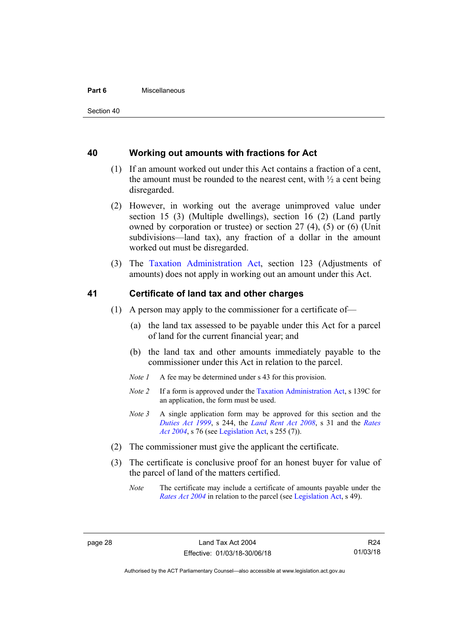#### **Part 6** Miscellaneous

### <span id="page-33-0"></span>**40 Working out amounts with fractions for Act**

- (1) If an amount worked out under this Act contains a fraction of a cent, the amount must be rounded to the nearest cent, with  $\frac{1}{2}$  a cent being disregarded.
- (2) However, in working out the average unimproved value under section 15 (3) (Multiple dwellings), section 16 (2) (Land partly owned by corporation or trustee) or section 27 (4), (5) or (6) (Unit subdivisions—land tax), any fraction of a dollar in the amount worked out must be disregarded.
- (3) The [Taxation Administration Act,](http://www.legislation.act.gov.au/a/1999-4/default.asp) section 123 (Adjustments of amounts) does not apply in working out an amount under this Act.

### <span id="page-33-1"></span>**41 Certificate of land tax and other charges**

- (1) A person may apply to the commissioner for a certificate of—
	- (a) the land tax assessed to be payable under this Act for a parcel of land for the current financial year; and
	- (b) the land tax and other amounts immediately payable to the commissioner under this Act in relation to the parcel.
	- *Note 1* A fee may be determined under s 43 for this provision.
	- *Note 2* If a form is approved under the [Taxation Administration Act](http://www.legislation.act.gov.au/a/1999-4/default.asp), s 139C for an application, the form must be used.
	- *Note 3* A single application form may be approved for this section and the *[Duties Act 1999](http://www.legislation.act.gov.au/a/1999-7)*, s 244, the *[Land Rent Act 2008](http://www.legislation.act.gov.au/a/2008-16)*, s 31 and the *[Rates](http://www.legislation.act.gov.au/a/2004-3)  [Act 2004](http://www.legislation.act.gov.au/a/2004-3)*, s 76 (see [Legislation Act](http://www.legislation.act.gov.au/a/2001-14), s 255 (7)).
- (2) The commissioner must give the applicant the certificate.
- (3) The certificate is conclusive proof for an honest buyer for value of the parcel of land of the matters certified.
	- *Note* The certificate may include a certificate of amounts payable under the *[Rates Act 2004](http://www.legislation.act.gov.au/a/2004-3)* in relation to the parcel (see [Legislation Act,](http://www.legislation.act.gov.au/a/2001-14) s 49).

R24 01/03/18

Authorised by the ACT Parliamentary Counsel—also accessible at www.legislation.act.gov.au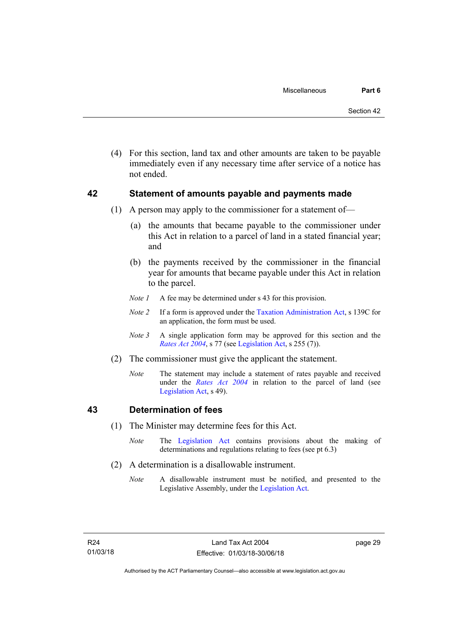(4) For this section, land tax and other amounts are taken to be payable immediately even if any necessary time after service of a notice has not ended.

### <span id="page-34-0"></span>**42 Statement of amounts payable and payments made**

- (1) A person may apply to the commissioner for a statement of—
	- (a) the amounts that became payable to the commissioner under this Act in relation to a parcel of land in a stated financial year; and
	- (b) the payments received by the commissioner in the financial year for amounts that became payable under this Act in relation to the parcel.
	- *Note 1* A fee may be determined under s 43 for this provision.
	- *Note 2* If a form is approved under the [Taxation Administration Act](http://www.legislation.act.gov.au/a/1999-4/default.asp), s 139C for an application, the form must be used.
	- *Note 3* A single application form may be approved for this section and the *[Rates Act 2004](http://www.legislation.act.gov.au/a/2004-3)*, s 77 (see [Legislation Act,](http://www.legislation.act.gov.au/a/2001-14) s 255 (7)).
- (2) The commissioner must give the applicant the statement.
	- *Note* The statement may include a statement of rates payable and received under the *[Rates Act 2004](http://www.legislation.act.gov.au/a/2004-3)* in relation to the parcel of land (see [Legislation Act,](http://www.legislation.act.gov.au/a/2001-14) s 49).

### <span id="page-34-1"></span>**43 Determination of fees**

- (1) The Minister may determine fees for this Act.
	- *Note* The [Legislation Act](http://www.legislation.act.gov.au/a/2001-14) contains provisions about the making of determinations and regulations relating to fees (see pt 6.3)
- (2) A determination is a disallowable instrument.
	- *Note* A disallowable instrument must be notified, and presented to the Legislative Assembly, under the [Legislation Act.](http://www.legislation.act.gov.au/a/2001-14)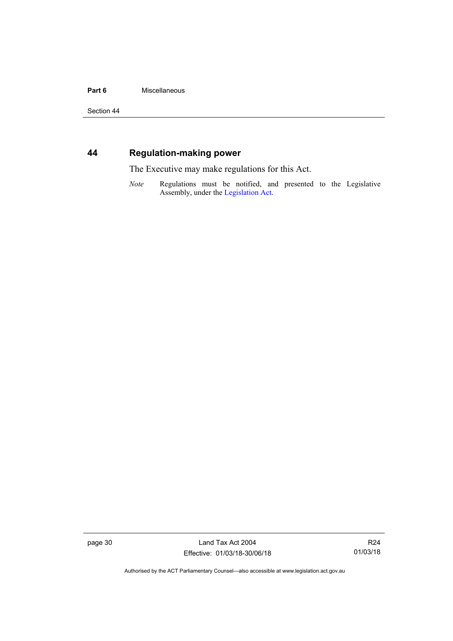#### Part 6 **Miscellaneous**

Section 44

### <span id="page-35-0"></span>**44 Regulation-making power**

The Executive may make regulations for this Act.

*Note* Regulations must be notified, and presented to the Legislative Assembly, under the [Legislation Act](http://www.legislation.act.gov.au/a/2001-14).

page 30 Land Tax Act 2004 Effective: 01/03/18-30/06/18

R24 01/03/18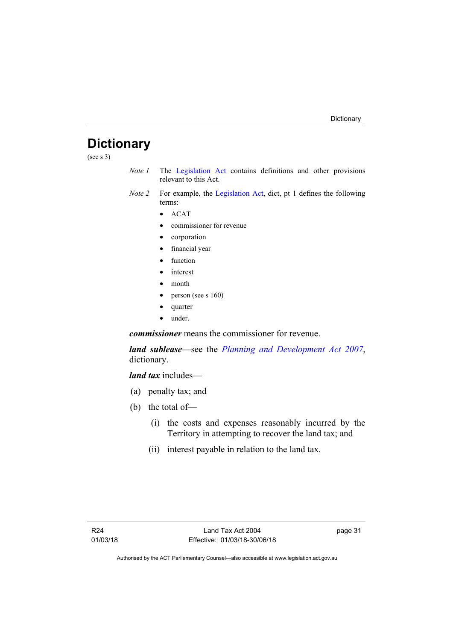## <span id="page-36-0"></span>**Dictionary**

(see s 3)

- *Note 1* The [Legislation Act](http://www.legislation.act.gov.au/a/2001-14) contains definitions and other provisions relevant to this Act.
- *Note 2* For example, the [Legislation Act](http://www.legislation.act.gov.au/a/2001-14), dict, pt 1 defines the following terms:
	- $\bullet$  ACAT
	- commissioner for revenue
	- corporation
	- financial year
	- function
	- interest
	- month
	- person (see s 160)
	- quarter
	- under.

*commissioner* means the commissioner for revenue.

*land sublease*—see the *[Planning and Development Act 2007](http://www.legislation.act.gov.au/a/2007-24)*, dictionary.

*land tax* includes—

- (a) penalty tax; and
- (b) the total of—
	- (i) the costs and expenses reasonably incurred by the Territory in attempting to recover the land tax; and
	- (ii) interest payable in relation to the land tax.

page 31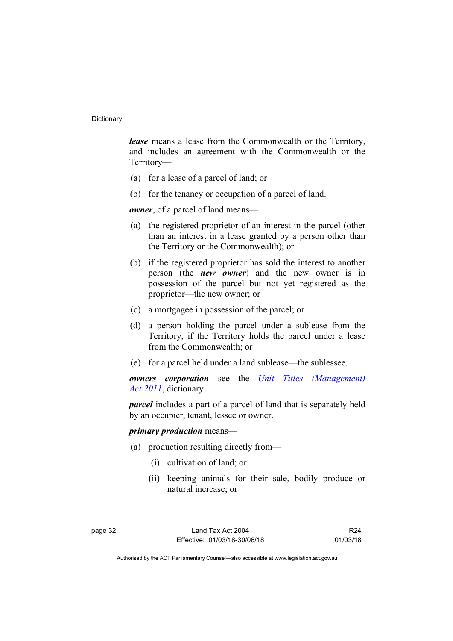*lease* means a lease from the Commonwealth or the Territory, and includes an agreement with the Commonwealth or the Territory—

- (a) for a lease of a parcel of land; or
- (b) for the tenancy or occupation of a parcel of land.

*owner*, of a parcel of land means—

- (a) the registered proprietor of an interest in the parcel (other than an interest in a lease granted by a person other than the Territory or the Commonwealth); or
- (b) if the registered proprietor has sold the interest to another person (the *new owner*) and the new owner is in possession of the parcel but not yet registered as the proprietor—the new owner; or
- (c) a mortgagee in possession of the parcel; or
- (d) a person holding the parcel under a sublease from the Territory, if the Territory holds the parcel under a lease from the Commonwealth; or
- (e) for a parcel held under a land sublease—the sublessee.

*owners corporation*—see the *[Unit Titles \(Management\)](http://www.legislation.act.gov.au/a/2011-41)  [Act 2011](http://www.legislation.act.gov.au/a/2011-41)*, dictionary.

*parcel* includes a part of a parcel of land that is separately held by an occupier, tenant, lessee or owner.

### *primary production* means—

- (a) production resulting directly from—
	- (i) cultivation of land; or
	- (ii) keeping animals for their sale, bodily produce or natural increase; or

R24 01/03/18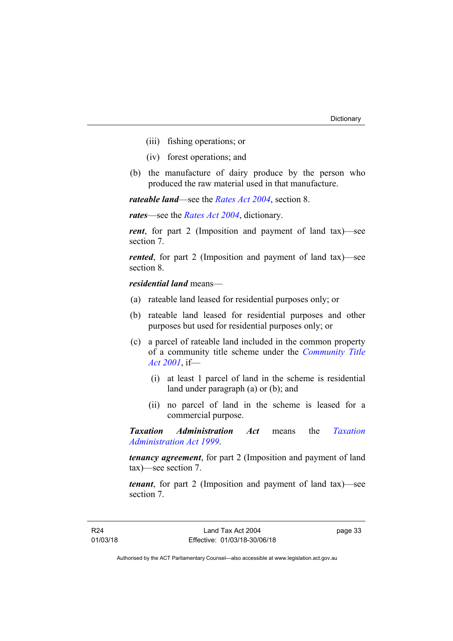- (iii) fishing operations; or
- (iv) forest operations; and
- (b) the manufacture of dairy produce by the person who produced the raw material used in that manufacture.

*rateable land*—see the *[Rates Act 2004](http://www.legislation.act.gov.au/a/2004-3)*, section 8.

*rates*—see the *[Rates Act 2004](http://www.legislation.act.gov.au/a/2004-3)*, dictionary.

*rent*, for part 2 (Imposition and payment of land tax)—see section 7.

*rented*, for part 2 (Imposition and payment of land tax)—see section 8.

*residential land* means—

- (a) rateable land leased for residential purposes only; or
- (b) rateable land leased for residential purposes and other purposes but used for residential purposes only; or
- (c) a parcel of rateable land included in the common property of a community title scheme under the *[Community Title](http://www.legislation.act.gov.au/a/2001-58)  [Act 2001](http://www.legislation.act.gov.au/a/2001-58)*, if—
	- (i) at least 1 parcel of land in the scheme is residential land under paragraph (a) or (b); and
	- (ii) no parcel of land in the scheme is leased for a commercial purpose.

*Taxation Administration Act* means the *[Taxation](http://www.legislation.act.gov.au/a/1999-4)  [Administration Act 1999](http://www.legislation.act.gov.au/a/1999-4)*.

*tenancy agreement*, for part 2 (Imposition and payment of land tax)—see section 7.

*tenant*, for part 2 (Imposition and payment of land tax)—see section 7.

page 33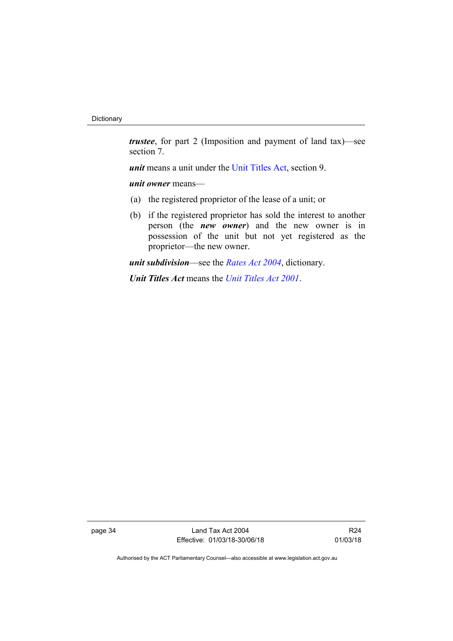*trustee*, for part 2 (Imposition and payment of land tax)—see section 7.

*unit* means a unit under the [Unit Titles Act,](http://www.legislation.act.gov.au/a/2001-16/default.asp) section 9.

*unit owner* means—

- (a) the registered proprietor of the lease of a unit; or
- (b) if the registered proprietor has sold the interest to another person (the *new owner*) and the new owner is in possession of the unit but not yet registered as the proprietor—the new owner.

*unit subdivision*—see the *[Rates Act 2004](http://www.legislation.act.gov.au/a/2004-3)*, dictionary.

*Unit Titles Act* means the *[Unit Titles Act 2001](http://www.legislation.act.gov.au/a/2001-16)*.

page 34 Land Tax Act 2004 Effective: 01/03/18-30/06/18

R24 01/03/18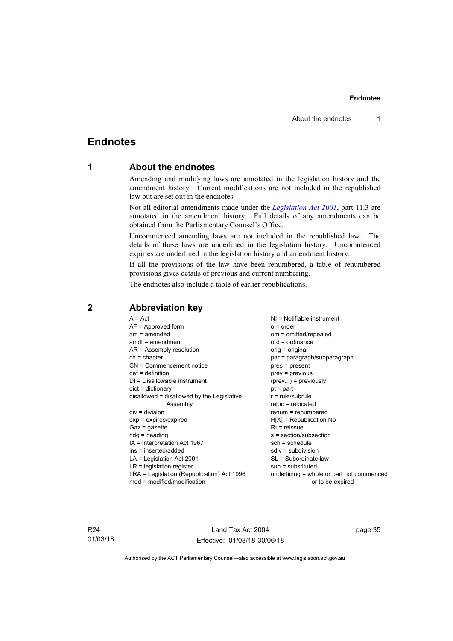### <span id="page-40-0"></span>**Endnotes**

### **1 About the endnotes**

Amending and modifying laws are annotated in the legislation history and the amendment history. Current modifications are not included in the republished law but are set out in the endnotes.

Not all editorial amendments made under the *[Legislation Act 2001](http://www.legislation.act.gov.au/a/2001-14)*, part 11.3 are annotated in the amendment history. Full details of any amendments can be obtained from the Parliamentary Counsel's Office.

Uncommenced amending laws are not included in the republished law. The details of these laws are underlined in the legislation history. Uncommenced expiries are underlined in the legislation history and amendment history.

If all the provisions of the law have been renumbered, a table of renumbered provisions gives details of previous and current numbering.

The endnotes also include a table of earlier republications.

| $A = Act$                                  | $NI = Notifiable$ instrument                |
|--------------------------------------------|---------------------------------------------|
| $AF =$ Approved form                       | $o = order$                                 |
| $am = amended$                             | om = omitted/repealed                       |
| $amdt = amendment$                         | $ord = ordinance$                           |
| $AR = Assembly resolution$                 | orig = original                             |
| $ch = chapter$                             | par = paragraph/subparagraph                |
| $CN =$ Commencement notice                 | pres = present                              |
| $def = definition$                         | $prev = previous$                           |
| $DI = Disallowable instrument$             | $(\text{prev})$ = previously                |
| $dict = dictionary$                        | $pt = part$                                 |
| disallowed = disallowed by the Legislative | $r = rule/subrule$                          |
| Assembly                                   | $reloc = relocated$                         |
| $div =$ division                           | $renum = renumbered$                        |
| $exp = expires/expired$                    | $R[X]$ = Republication No                   |
| $Gaz = gazette$                            | $R1$ = reissue                              |
| $h dq =$ heading                           | s = section/subsection                      |
| IA = Interpretation Act 1967               | $sch = schedule$                            |
| ins = inserted/added                       | $sdiv = subdivision$                        |
| $LA =$ Legislation Act 2001                | SL = Subordinate law                        |
| $LR =$ legislation register                | $sub =$ substituted                         |
| LRA = Legislation (Republication) Act 1996 | $underlining = whole or part not commenced$ |
| $mod = modified/modification$              | or to be expired                            |
|                                            |                                             |

### <span id="page-40-2"></span>**2 Abbreviation key**

R24 01/03/18

Land Tax Act 2004 Effective: 01/03/18-30/06/18 page 35

<span id="page-40-1"></span>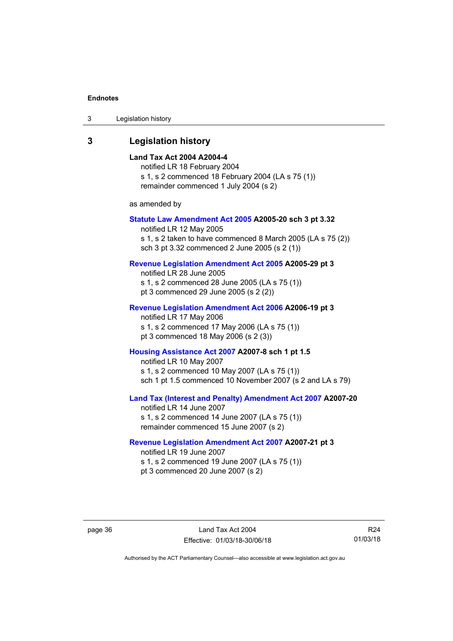3 Legislation history

### <span id="page-41-0"></span>**3 Legislation history**

#### **Land Tax Act 2004 A2004-4**

notified LR 18 February 2004 s 1, s 2 commenced 18 February 2004 (LA s 75 (1)) remainder commenced 1 July 2004 (s 2)

as amended by

#### **[Statute Law Amendment Act 2005](http://www.legislation.act.gov.au/a/2005-20) A2005-20 sch 3 pt 3.32**

notified LR 12 May 2005 s 1, s 2 taken to have commenced 8 March 2005 (LA s 75 (2)) sch 3 pt 3.32 commenced 2 June 2005 (s 2 (1))

### **[Revenue Legislation Amendment Act 2005](http://www.legislation.act.gov.au/a/2005-29) A2005-29 pt 3**

notified LR 28 June 2005 s 1, s 2 commenced 28 June 2005 (LA s 75 (1)) pt 3 commenced 29 June 2005 (s 2 (2))

#### **[Revenue Legislation Amendment Act 2006](http://www.legislation.act.gov.au/a/2006-19) A2006-19 pt 3**

notified LR 17 May 2006 s 1, s 2 commenced 17 May 2006 (LA s 75 (1)) pt 3 commenced 18 May 2006 (s 2 (3))

#### **[Housing Assistance Act 2007](http://www.legislation.act.gov.au/a/2007-8) A2007-8 sch 1 pt 1.5**

notified LR 10 May 2007 s 1, s 2 commenced 10 May 2007 (LA s 75 (1)) sch 1 pt 1.5 commenced 10 November 2007 (s 2 and LA s 79)

### **[Land Tax \(Interest and Penalty\) Amendment Act 2007](http://www.legislation.act.gov.au/a/2007-20) A2007-20**

notified LR 14 June 2007 s 1, s 2 commenced 14 June 2007 (LA s 75 (1)) remainder commenced 15 June 2007 (s 2)

#### **[Revenue Legislation Amendment Act 2007](http://www.legislation.act.gov.au/a/2007-21) A2007-21 pt 3**

notified LR 19 June 2007 s 1, s 2 commenced 19 June 2007 (LA s 75 (1)) pt 3 commenced 20 June 2007 (s 2)

R24 01/03/18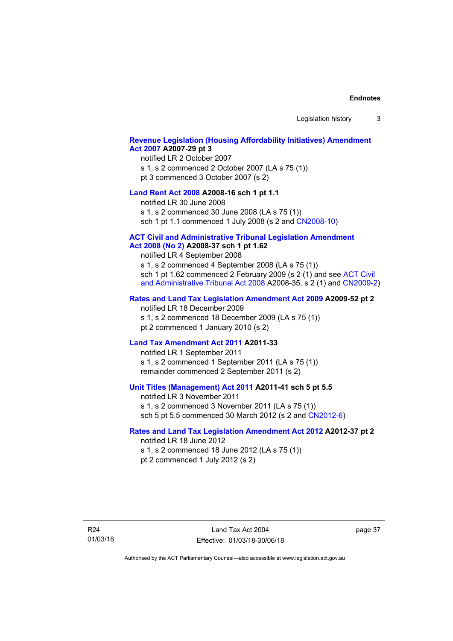Legislation history 3

#### **[Revenue Legislation \(Housing Affordability Initiatives\) Amendment](http://www.legislation.act.gov.au/a/2007-29)  [Act 2007](http://www.legislation.act.gov.au/a/2007-29) A2007-29 pt 3**

#### notified LR 2 October 2007

s 1, s 2 commenced 2 October 2007 (LA s 75 (1)) pt 3 commenced 3 October 2007 (s 2)

#### **[Land Rent Act 2008](http://www.legislation.act.gov.au/a/2008-16) A2008-16 sch 1 pt 1.1**

notified LR 30 June 2008 s 1, s 2 commenced 30 June 2008 (LA s 75 (1))

sch 1 pt 1.1 commenced 1 July 2008 (s 2 and [CN2008-10\)](http://www.legislation.act.gov.au/cn/2008-10/default.asp)

#### **[ACT Civil and Administrative Tribunal Legislation Amendment](http://www.legislation.act.gov.au/a/2008-37)**

#### **[Act 2008 \(No 2\)](http://www.legislation.act.gov.au/a/2008-37) A2008-37 sch 1 pt 1.62**

notified LR 4 September 2008

s 1, s 2 commenced 4 September 2008 (LA s 75 (1)) sch 1 pt 1.62 commenced 2 February 2009 (s 2 (1) and see [ACT Civil](http://www.legislation.act.gov.au/a/2008-35)  [and Administrative Tribunal Act 2008](http://www.legislation.act.gov.au/a/2008-35) A2008-35, s 2 (1) and [CN2009-2](http://www.legislation.act.gov.au/cn/2009-2/default.asp))

#### **[Rates and Land Tax Legislation Amendment Act 2009](http://www.legislation.act.gov.au/a/2009-52) A2009-52 pt 2**

notified LR 18 December 2009 s 1, s 2 commenced 18 December 2009 (LA s 75 (1)) pt 2 commenced 1 January 2010 (s 2)

#### **[Land Tax Amendment Act 2011](http://www.legislation.act.gov.au/a/2011-33) A2011-33**

notified LR 1 September 2011 s 1, s 2 commenced 1 September 2011 (LA s 75 (1)) remainder commenced 2 September 2011 (s 2)

#### **[Unit Titles \(Management\) Act 2011](http://www.legislation.act.gov.au/a/2011-41) A2011-41 sch 5 pt 5.5**

notified LR 3 November 2011 s 1, s 2 commenced 3 November 2011 (LA s 75 (1)) sch 5 pt 5.5 commenced 30 March 2012 (s 2 and [CN2012-6\)](http://www.legislation.act.gov.au/cn/2012-6/default.asp)

#### **[Rates and Land Tax Legislation Amendment Act 2012](http://www.legislation.act.gov.au/a/2012-37) A2012-37 pt 2**

notified LR 18 June 2012 s 1, s 2 commenced 18 June 2012 (LA s 75 (1)) pt 2 commenced 1 July 2012 (s 2)

R24 01/03/18

Land Tax Act 2004 Effective: 01/03/18-30/06/18 page 37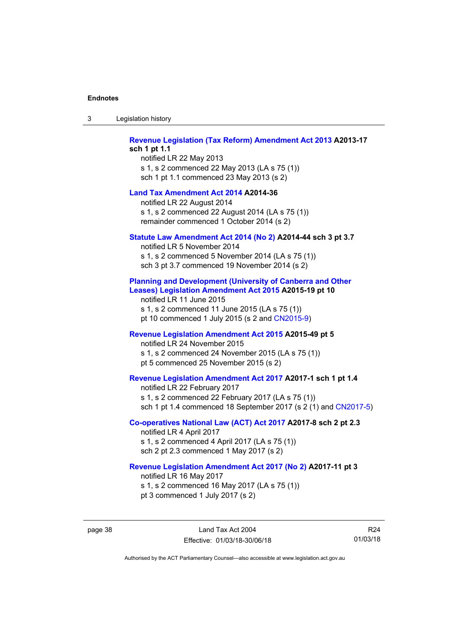| 3 | Legislation history |  |
|---|---------------------|--|
|---|---------------------|--|

**[Revenue Legislation \(Tax Reform\) Amendment Act 2013](http://www.legislation.act.gov.au/a/2013-17) A2013-17 sch 1 pt 1.1**  notified LR 22 May 2013 s 1, s 2 commenced 22 May 2013 (LA s 75 (1)) sch 1 pt 1.1 commenced 23 May 2013 (s 2) **[Land Tax Amendment Act 2014](http://www.legislation.act.gov.au/a/2014-36) A2014-36**  notified LR 22 August 2014 s 1, s 2 commenced 22 August 2014 (LA s 75 (1)) remainder commenced 1 October 2014 (s 2) **[Statute Law Amendment Act 2014 \(No 2\)](http://www.legislation.act.gov.au/a/2014-44) A2014-44 sch 3 pt 3.7**  notified LR 5 November 2014 s 1, s 2 commenced 5 November 2014 (LA s 75 (1)) sch 3 pt 3.7 commenced 19 November 2014 (s 2) **[Planning and Development \(University of Canberra and Other](http://www.legislation.act.gov.au/a/2015-19)  [Leases\) Legislation Amendment Act 2015](http://www.legislation.act.gov.au/a/2015-19) A2015-19 pt 10**  notified LR 11 June 2015 s 1, s 2 commenced 11 June 2015 (LA s 75 (1)) pt 10 commenced 1 July 2015 (s 2 and [CN2015-9\)](http://www.legislation.act.gov.au/cn/2015-9/default.asp) **[Revenue Legislation Amendment Act 2015](http://www.legislation.act.gov.au/a/2015-49/default.asp) A2015-49 pt 5**  notified LR 24 November 2015 s 1, s 2 commenced 24 November 2015 (LA s 75 (1)) pt 5 commenced 25 November 2015 (s 2) **[Revenue Legislation Amendment Act 2017](http://www.legislation.act.gov.au/a/2017-1/default.asp) A2017-1 sch 1 pt 1.4**  notified LR 22 February 2017 s 1, s 2 commenced 22 February 2017 (LA s 75 (1)) sch 1 pt 1.4 commenced 18 September 2017 (s 2 (1) and [CN2017-5\)](http://www.legislation.act.gov.au/cn/2017-5/default.asp) **[Co-operatives National Law \(ACT\) Act 2017](http://www.legislation.act.gov.au/a/2017-8/default.asp) A2017-8 sch 2 pt 2.3**  notified LR 4 April 2017 s 1, s 2 commenced 4 April 2017 (LA s 75 (1)) sch 2 pt 2.3 commenced 1 May 2017 (s 2) **[Revenue Legislation Amendment Act 2017 \(No 2\)](http://www.legislation.act.gov.au/a/2017-11/default.asp) A2017-11 pt 3**  notified LR 16 May 2017 s 1, s 2 commenced 16 May 2017 (LA s 75 (1)) pt 3 commenced 1 July 2017 (s 2)

page 38 Land Tax Act 2004 Effective: 01/03/18-30/06/18

R24 01/03/18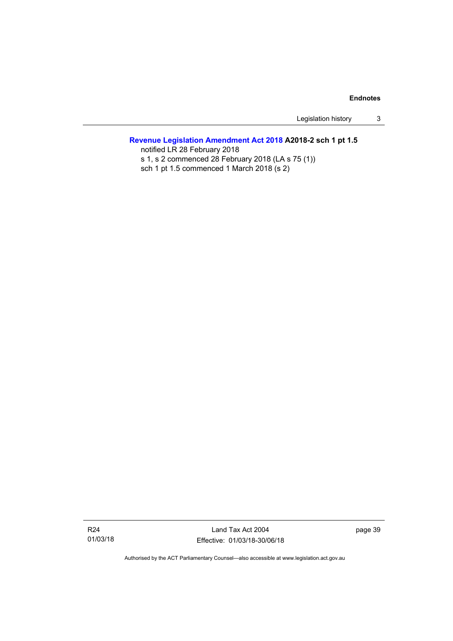Legislation history 3

### **[Revenue Legislation Amendment Act 2018](http://www.legislation.act.gov.au/a/2018-2/default.asp) A2018-2 sch 1 pt 1.5**

notified LR 28 February 2018 s 1, s 2 commenced 28 February 2018 (LA s 75 (1)) sch 1 pt 1.5 commenced 1 March 2018 (s 2)

Land Tax Act 2004 Effective: 01/03/18-30/06/18 page 39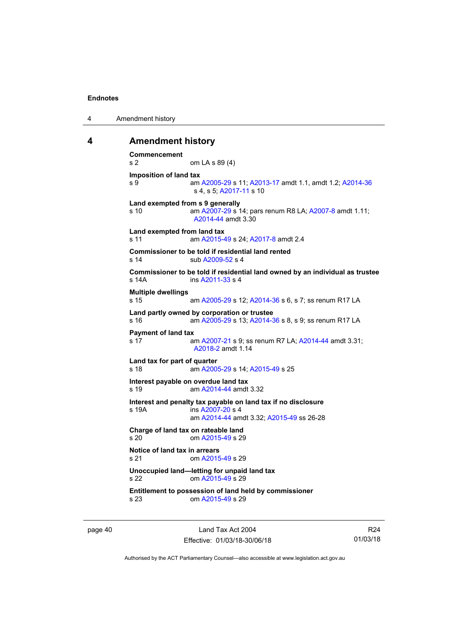4 Amendment history

#### <span id="page-45-0"></span>**4 Amendment history**

```
Commencement 
s 2 om LA s 89 (4) 
Imposition of land tax 
s 9 am A2005-29 s 11; A2013-17 amdt 1.1, amdt 1.2; A2014-36
                 s 4, s 5; A2017-11 s 10 
Land exempted from s 9 generally 
s 10 am A2007-29 s 14; pars renum R8 LA; A2007-8 amdt 1.11; 
                 A2014-44 amdt 3.30 
Land exempted from land tax 
s 11 am A2015-49 s 24; A2017-8 amdt 2.4 
Commissioner to be told if residential land rented 
s 14 sub A2009-52 \leq 4Commissioner to be told if residential land owned by an individual as trustee 
s 14A ins A2011-33 s 4
Multiple dwellings 
s 15 am A2005-29 s 12; A2014-36 s 6, s 7; ss renum R17 LA 
Land partly owned by corporation or trustee 
s 16 am A2005-29 s 13; A2014-36 s 8, s 9; ss renum R17 LA 
Payment of land tax 
s 17 am A2007-21 s 9; ss renum R7 LA; A2014-44 amdt 3.31; 
                 A2018-2 amdt 1.14 
Land tax for part of quarter 
s 18 am A2005-29 s 14; A2015-49 s 25 
Interest payable on overdue land tax 
s 19 am A2014-44 amdt 3.32
Interest and penalty tax payable on land tax if no disclosure 
s 19A ins A2007-20 s 4
                 am A2014-44 amdt 3.32; A2015-49 ss 26-28 
Charge of land tax on rateable land 
s 20 om A2015-49 s 29 
Notice of land tax in arrears 
s 21 om A2015-49 s 29 
Unoccupied land—letting for unpaid land tax 
s 22 om A2015-49 s 29 
Entitlement to possession of land held by commissioner 
s 23 om A2015-49 s 29
```
page 40 Land Tax Act 2004 Effective: 01/03/18-30/06/18

R24 01/03/18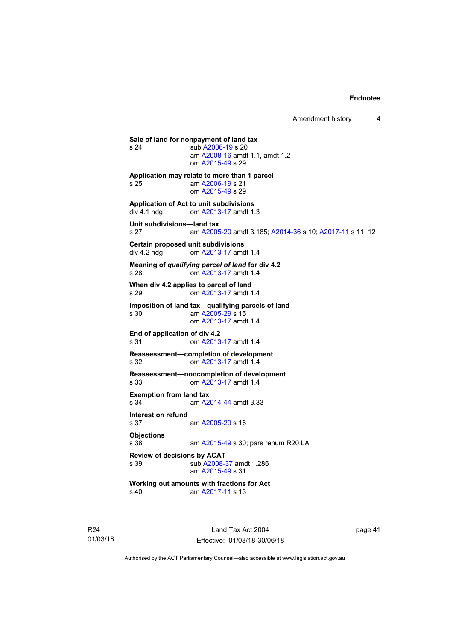Amendment history 4

**Sale of land for nonpayment of land tax**<br>
s 24 sub A2006-19 s 20 sub [A2006-19](http://www.legislation.act.gov.au/a/2006-19) s 20 am [A2008-16](http://www.legislation.act.gov.au/a/2008-16) amdt 1.1, amdt 1.2 om [A2015-49](http://www.legislation.act.gov.au/a/2015-49/default.asp) s 29 **Application may relate to more than 1 parcel**  s 25 am [A2006-19](http://www.legislation.act.gov.au/a/2006-19) s 21 om [A2015-49](http://www.legislation.act.gov.au/a/2015-49/default.asp) s 29 **Application of Act to unit subdivisions**  om [A2013-17](http://www.legislation.act.gov.au/a/2013-17) amdt 1.3 **Unit subdivisions—land tax**  s 27 am [A2005-20](http://www.legislation.act.gov.au/a/2005-20) amdt 3.185; [A2014-36](http://www.legislation.act.gov.au/a/2014-36) s 10; [A2017-11](http://www.legislation.act.gov.au/a/2017-11/default.asp) s 11, 12 **Certain proposed unit subdivisions**  div 4.2 hdg om [A2013-17](http://www.legislation.act.gov.au/a/2013-17) amdt 1.4 **Meaning of** *qualifying parcel of land* **for div 4.2**  s 28 om [A2013-17](http://www.legislation.act.gov.au/a/2013-17) amdt 1.4 **When div 4.2 applies to parcel of land**  s 29 om [A2013-17](http://www.legislation.act.gov.au/a/2013-17) amdt 1.4 **Imposition of land tax—qualifying parcels of land**  s 30 am [A2005-29](http://www.legislation.act.gov.au/a/2005-29) s 15 om [A2013-17](http://www.legislation.act.gov.au/a/2013-17) amdt 1.4 **End of application of div 4.2**  s 31 om [A2013-17](http://www.legislation.act.gov.au/a/2013-17) amdt 1.4 **Reassessment—completion of development**  om [A2013-17](http://www.legislation.act.gov.au/a/2013-17) amdt 1.4 **Reassessment—noncompletion of development**  s 33 om [A2013-17](http://www.legislation.act.gov.au/a/2013-17) amdt 1.4 **Exemption from land tax**  s 34 am [A2014-44](http://www.legislation.act.gov.au/a/2014-44) amdt 3.33 **Interest on refund**  s 37 am [A2005-29](http://www.legislation.act.gov.au/a/2005-29) s 16 **Objections** s 38 am [A2015-49](http://www.legislation.act.gov.au/a/2015-49/default.asp) s 30; pars renum R20 LA **Review of decisions by ACAT**  s 39 sub [A2008-37](http://www.legislation.act.gov.au/a/2008-37) amdt 1.286 am [A2015-49](http://www.legislation.act.gov.au/a/2015-49/default.asp) s 31 **Working out amounts with fractions for Act**  am [A2017-11](http://www.legislation.act.gov.au/a/2017-11/default.asp) s 13

R24 01/03/18

Land Tax Act 2004 Effective: 01/03/18-30/06/18 page 41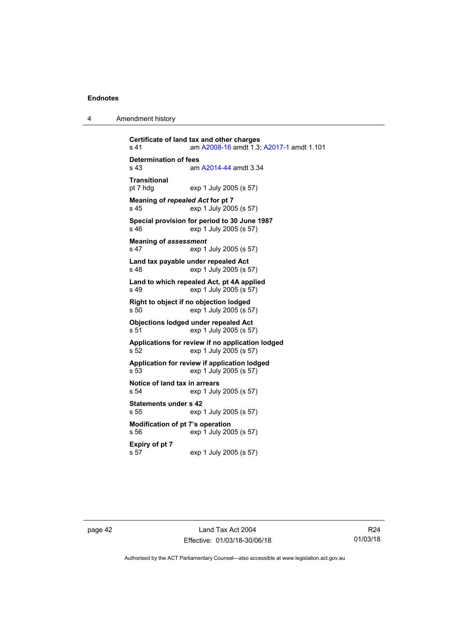| 4 | Amendment history |
|---|-------------------|
|---|-------------------|

**Certificate of land tax and other charges**  s 41 am [A2008-16](http://www.legislation.act.gov.au/a/2008-16) amdt 1.3; [A2017-1](http://www.legislation.act.gov.au/a/2017-1/default.asp) amdt 1.101 **Determination of fees**<br>s 43 am am [A2014-44](http://www.legislation.act.gov.au/a/2014-44) amdt 3.34 **Transitional**  exp 1 July 2005 (s 57) **Meaning of** *repealed Act* **for pt 7**  s 45 exp 1 July 2005 (s 57) **Special provision for period to 30 June 1987**  exp 1 July 2005 (s 57) **Meaning of** *assessment* s 47 exp 1 July 2005 (s 57) **Land tax payable under repealed Act**  s 48 exp 1 July 2005 (s 57) **Land to which repealed Act, pt 4A applied**  s 49 exp 1 July 2005 (s 57) **Right to object if no objection lodged**  s 50 exp 1 July 2005 (s 57) **Objections lodged under repealed Act**  s 51 exp 1 July 2005 (s 57) **Applications for review if no application lodged**  s 52 exp 1 July 2005 (s 57) **Application for review if application lodged**  s 53 exp 1 July 2005 (s 57) **Notice of land tax in arrears**  s 54 exp 1 July 2005 (s 57) **Statements under s 42**  s 55 exp 1 July 2005 (s 57) **Modification of pt 7's operation**  s 56 exp 1 July 2005 (s 57) **Expiry of pt 7**  s 57 exp 1 July 2005 (s 57)

page 42 Land Tax Act 2004 Effective: 01/03/18-30/06/18

R24 01/03/18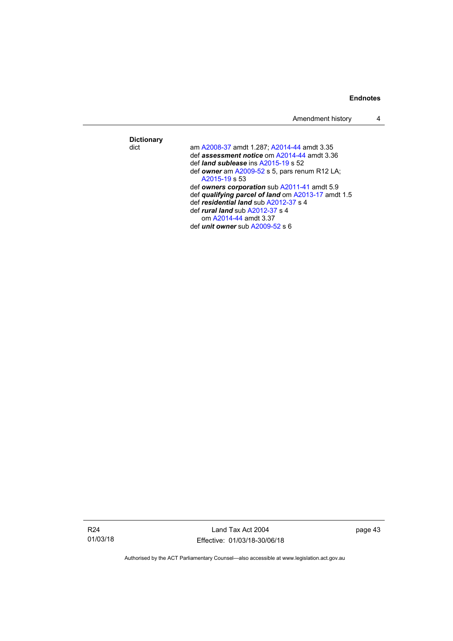|                   | Amendment history                                                                                                                                                                                               |  |
|-------------------|-----------------------------------------------------------------------------------------------------------------------------------------------------------------------------------------------------------------|--|
| <b>Dictionary</b> |                                                                                                                                                                                                                 |  |
| dict              | am A2008-37 amdt 1.287; A2014-44 amdt 3.35<br>def assessment notice om A2014-44 amdt 3.36<br>def <i>land sublease</i> ins $A2015-19$ s 52<br>def owner am $A2009-52$ s 5, pars renum R12 LA;<br>$A2015-19$ s 53 |  |
|                   | def owners corporation sub A2011-41 amdt 5.9<br>def qualifying parcel of land om A2013-17 amdt 1.5<br>def residential land sub A2012-37 s 4<br>def <i>rural land</i> sub $A2012-37$ s 4                         |  |
|                   | om A2014-44 amdt 3.37<br>def <i>unit</i> owner sub $A2009-52$ s 6                                                                                                                                               |  |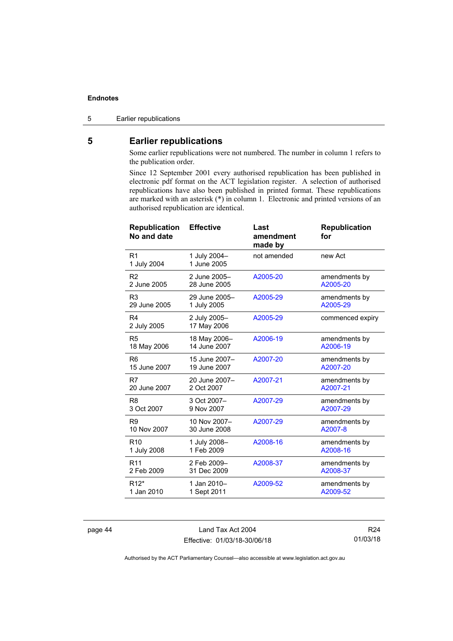5 Earlier republications

### <span id="page-49-0"></span>**5 Earlier republications**

Some earlier republications were not numbered. The number in column 1 refers to the publication order.

Since 12 September 2001 every authorised republication has been published in electronic pdf format on the ACT legislation register. A selection of authorised republications have also been published in printed format. These republications are marked with an asterisk (\*) in column 1. Electronic and printed versions of an authorised republication are identical.

| <b>Republication</b><br>No and date | <b>Effective</b>            | Last<br>amendment<br>made by | <b>Republication</b><br>for |
|-------------------------------------|-----------------------------|------------------------------|-----------------------------|
| R <sub>1</sub><br>1 July 2004       | 1 July 2004-<br>1 June 2005 | not amended                  | new Act                     |
| R <sub>2</sub>                      | 2 June 2005-                | A2005-20                     | amendments by               |
| 2 June 2005                         | 28 June 2005                |                              | A2005-20                    |
| R <sub>3</sub>                      | 29 June 2005-               | A2005-29                     | amendments by               |
| 29 June 2005                        | 1 July 2005                 |                              | A2005-29                    |
| R <sub>4</sub><br>2 July 2005       | 2 July 2005-<br>17 May 2006 | A2005-29                     | commenced expiry            |
| R <sub>5</sub>                      | 18 May 2006-                | A2006-19                     | amendments by               |
| 18 May 2006                         | 14 June 2007                |                              | A2006-19                    |
| R <sub>6</sub>                      | 15 June 2007-               | A2007-20                     | amendments by               |
| 15 June 2007                        | 19 June 2007                |                              | A2007-20                    |
| R7                                  | 20 June 2007-               | A2007-21                     | amendments by               |
| 20 June 2007                        | 2 Oct 2007                  |                              | A2007-21                    |
| R <sub>8</sub>                      | 3 Oct 2007-                 | A2007-29                     | amendments by               |
| 3 Oct 2007                          | 9 Nov 2007                  |                              | A2007-29                    |
| R <sub>9</sub>                      | 10 Nov 2007-                | A2007-29                     | amendments by               |
| 10 Nov 2007                         | 30 June 2008                |                              | A2007-8                     |
| R <sub>10</sub>                     | 1 July 2008-                | A2008-16                     | amendments by               |
| 1 July 2008                         | 1 Feb 2009                  |                              | A2008-16                    |
| R <sub>11</sub>                     | 2 Feb 2009-                 | A2008-37                     | amendments by               |
| 2 Feb 2009                          | 31 Dec 2009                 |                              | A2008-37                    |
| R <sub>12</sub> <sup>*</sup>        | 1 Jan 2010-                 | A2009-52                     | amendments by               |
| 1 Jan 2010                          | 1 Sept 2011                 |                              | A2009-52                    |

page 44 Land Tax Act 2004 Effective: 01/03/18-30/06/18

R24 01/03/18